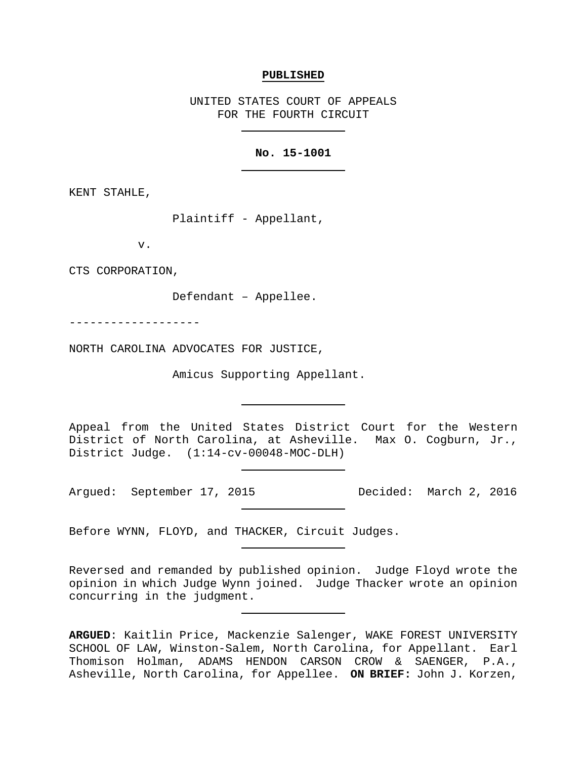#### **PUBLISHED**

UNITED STATES COURT OF APPEALS FOR THE FOURTH CIRCUIT

# **No. 15-1001**

KENT STAHLE,

Plaintiff - Appellant,

v.

CTS CORPORATION,

Defendant – Appellee.

-------------------

NORTH CAROLINA ADVOCATES FOR JUSTICE,

Amicus Supporting Appellant.

Appeal from the United States District Court for the Western District of North Carolina, at Asheville. Max O. Cogburn, Jr., District Judge. (1:14-cv-00048-MOC-DLH)

Argued: September 17, 2015 Decided: March 2, 2016

Before WYNN, FLOYD, and THACKER, Circuit Judges.

Reversed and remanded by published opinion. Judge Floyd wrote the opinion in which Judge Wynn joined. Judge Thacker wrote an opinion concurring in the judgment.

**ARGUED**: Kaitlin Price, Mackenzie Salenger, WAKE FOREST UNIVERSITY SCHOOL OF LAW, Winston-Salem, North Carolina, for Appellant. Earl Thomison Holman, ADAMS HENDON CARSON CROW & SAENGER, P.A., Asheville, North Carolina, for Appellee. **ON BRIEF:** John J. Korzen,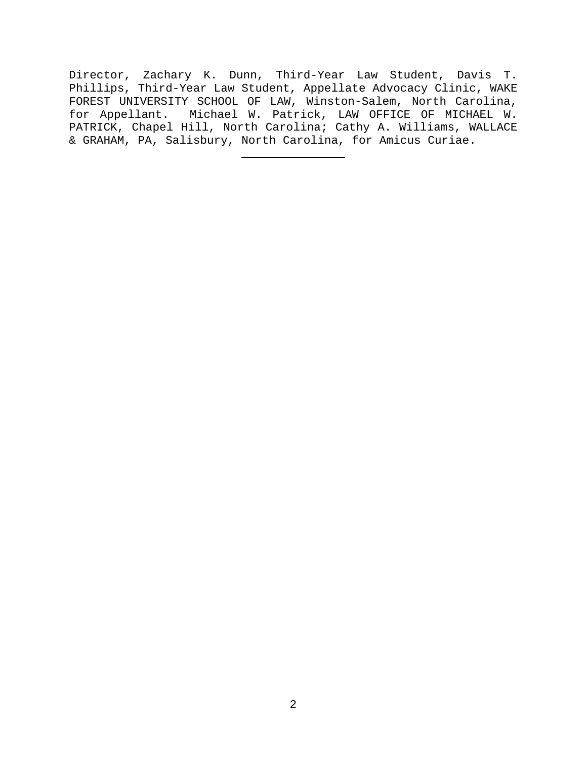Director, Zachary K. Dunn, Third-Year Law Student, Davis T. Phillips, Third-Year Law Student, Appellate Advocacy Clinic, WAKE FOREST UNIVERSITY SCHOOL OF LAW, Winston-Salem, North Carolina, for Appellant. Michael W. Patrick, LAW OFFICE OF MICHAEL W. PATRICK, Chapel Hill, North Carolina; Cathy A. Williams, WALLACE & GRAHAM, PA, Salisbury, North Carolina, for Amicus Curiae.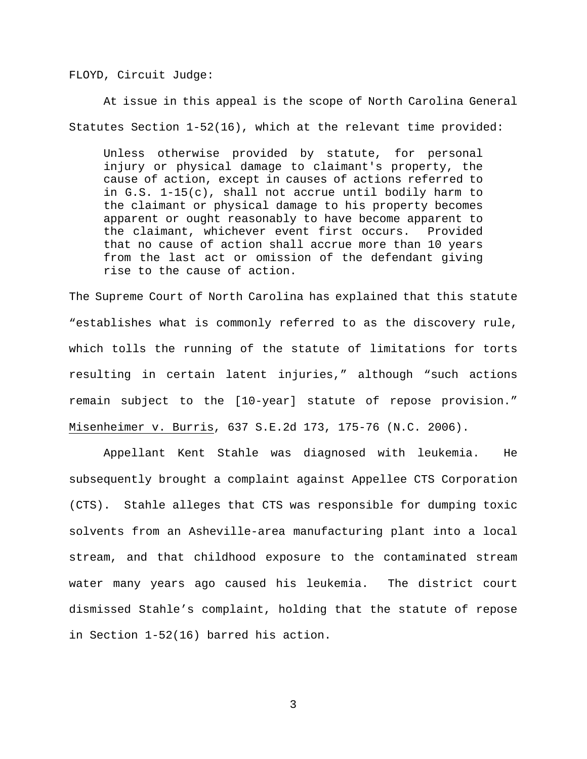FLOYD, Circuit Judge:

At issue in this appeal is the scope of North Carolina General Statutes Section 1-52(16), which at the relevant time provided:

Unless otherwise provided by statute, for personal injury or physical damage to claimant's property, the cause of action, except in causes of actions referred to in G.S. 1-15(c), shall not accrue until bodily harm to the claimant or physical damage to his property becomes apparent or ought reasonably to have become apparent to the claimant, whichever event first occurs. Provided that no cause of action shall accrue more than 10 years from the last act or omission of the defendant giving rise to the cause of action.

The Supreme Court of North Carolina has explained that this statute "establishes what is commonly referred to as the discovery rule, which tolls the running of the statute of limitations for torts resulting in certain latent injuries," although "such actions remain subject to the [10-year] statute of repose provision." Misenheimer v. Burris, 637 S.E.2d 173, 175-76 (N.C. 2006).

Appellant Kent Stahle was diagnosed with leukemia. He subsequently brought a complaint against Appellee CTS Corporation (CTS). Stahle alleges that CTS was responsible for dumping toxic solvents from an Asheville-area manufacturing plant into a local stream, and that childhood exposure to the contaminated stream water many years ago caused his leukemia. The district court dismissed Stahle's complaint, holding that the statute of repose in Section 1-52(16) barred his action.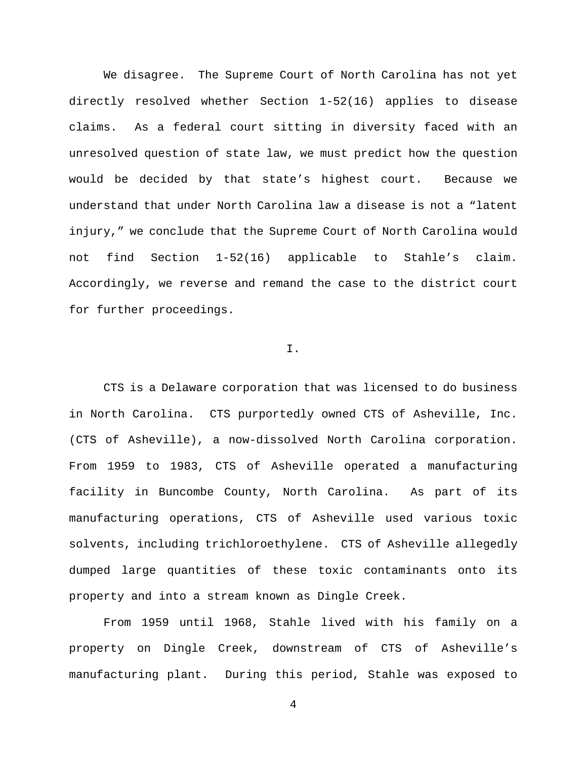We disagree. The Supreme Court of North Carolina has not yet directly resolved whether Section 1-52(16) applies to disease claims. As a federal court sitting in diversity faced with an unresolved question of state law, we must predict how the question would be decided by that state's highest court. Because we understand that under North Carolina law a disease is not a "latent injury," we conclude that the Supreme Court of North Carolina would not find Section 1-52(16) applicable to Stahle's claim. Accordingly, we reverse and remand the case to the district court for further proceedings.

# I.

CTS is a Delaware corporation that was licensed to do business in North Carolina. CTS purportedly owned CTS of Asheville, Inc. (CTS of Asheville), a now-dissolved North Carolina corporation. From 1959 to 1983, CTS of Asheville operated a manufacturing facility in Buncombe County, North Carolina. As part of its manufacturing operations, CTS of Asheville used various toxic solvents, including trichloroethylene. CTS of Asheville allegedly dumped large quantities of these toxic contaminants onto its property and into a stream known as Dingle Creek.

From 1959 until 1968, Stahle lived with his family on a property on Dingle Creek, downstream of CTS of Asheville's manufacturing plant. During this period, Stahle was exposed to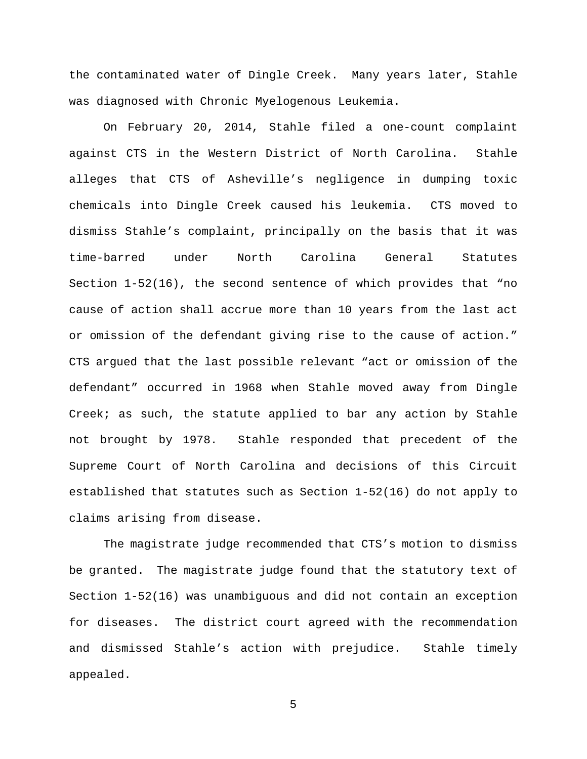the contaminated water of Dingle Creek. Many years later, Stahle was diagnosed with Chronic Myelogenous Leukemia.

On February 20, 2014, Stahle filed a one-count complaint against CTS in the Western District of North Carolina. Stahle alleges that CTS of Asheville's negligence in dumping toxic chemicals into Dingle Creek caused his leukemia. CTS moved to dismiss Stahle's complaint, principally on the basis that it was time-barred under North Carolina General Statutes Section 1-52(16), the second sentence of which provides that "no cause of action shall accrue more than 10 years from the last act or omission of the defendant giving rise to the cause of action." CTS argued that the last possible relevant "act or omission of the defendant" occurred in 1968 when Stahle moved away from Dingle Creek; as such, the statute applied to bar any action by Stahle not brought by 1978. Stahle responded that precedent of the Supreme Court of North Carolina and decisions of this Circuit established that statutes such as Section 1-52(16) do not apply to claims arising from disease.

The magistrate judge recommended that CTS's motion to dismiss be granted. The magistrate judge found that the statutory text of Section 1-52(16) was unambiguous and did not contain an exception for diseases. The district court agreed with the recommendation and dismissed Stahle's action with prejudice. Stahle timely appealed.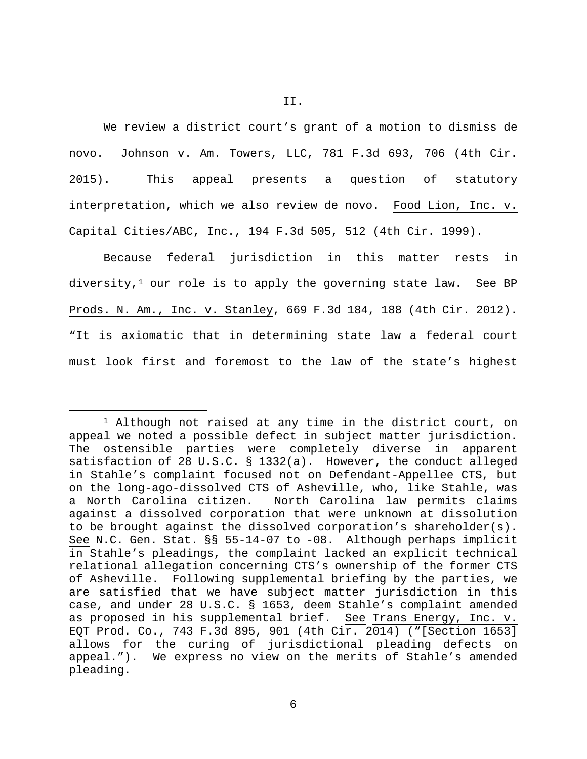We review a district court's grant of a motion to dismiss de novo. Johnson v. Am. Towers, LLC, 781 F.3d 693, 706 (4th Cir. 2015). This appeal presents a question of statutory interpretation, which we also review de novo. Food Lion, Inc. v. Capital Cities/ABC, Inc., 194 F.3d 505, 512 (4th Cir. 1999).

Because federal jurisdiction in this matter rests in diversity, $1$  our role is to apply the governing state law. See BP Prods. N. Am., Inc. v. Stanley, 669 F.3d 184, 188 (4th Cir. 2012). "It is axiomatic that in determining state law a federal court must look first and foremost to the law of the state's highest

<span id="page-5-0"></span> <sup>1</sup> Although not raised at any time in the district court, on appeal we noted a possible defect in subject matter jurisdiction. The ostensible parties were completely diverse in apparent satisfaction of 28 U.S.C. § 1332(a). However, the conduct alleged in Stahle's complaint focused not on Defendant-Appellee CTS, but on the long-ago-dissolved CTS of Asheville, who, like Stahle, was<br>a North Carolina citizen. North Carolina law permits claims North Carolina law permits claims against a dissolved corporation that were unknown at dissolution to be brought against the dissolved corporation's shareholder(s). See N.C. Gen. Stat. §§ 55-14-07 to -08. Although perhaps implicit in Stahle's pleadings, the complaint lacked an explicit technical relational allegation concerning CTS's ownership of the former CTS of Asheville. Following supplemental briefing by the parties, we are satisfied that we have subject matter jurisdiction in this case, and under 28 U.S.C. § 1653, deem Stahle's complaint amended as proposed in his supplemental brief. See Trans Energy, Inc. v. EQT Prod. Co., 743 F.3d 895, 901 (4th Cir. 2014) ("[Section 1653] allows for the curing of jurisdictional pleading defects on appeal."). We express no view on the merits of Stahle's amended pleading.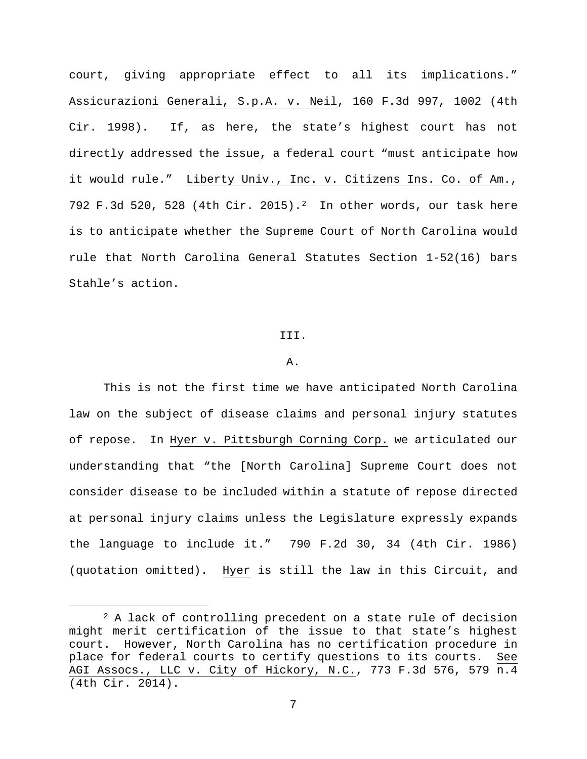court, giving appropriate effect to all its implications." Assicurazioni Generali, S.p.A. v. Neil, 160 F.3d 997, 1002 (4th Cir. 1998). If, as here, the state's highest court has not directly addressed the issue, a federal court "must anticipate how it would rule." Liberty Univ., Inc. v. Citizens Ins. Co. of Am., 792 F.3d 520, 528 (4th Cir. 2015).[2](#page-6-0) In other words, our task here is to anticipate whether the Supreme Court of North Carolina would rule that North Carolina General Statutes Section 1-52(16) bars Stahle's action.

#### III.

#### A.

This is not the first time we have anticipated North Carolina law on the subject of disease claims and personal injury statutes of repose. In Hyer v. Pittsburgh Corning Corp. we articulated our understanding that "the [North Carolina] Supreme Court does not consider disease to be included within a statute of repose directed at personal injury claims unless the Legislature expressly expands the language to include it." 790 F.2d 30, 34 (4th Cir. 1986) (quotation omitted). Hyer is still the law in this Circuit, and

<span id="page-6-0"></span><sup>&</sup>lt;sup>2</sup> A lack of controlling precedent on a state rule of decision might merit certification of the issue to that state's highest court. However, North Carolina has no certification procedure in place for federal courts to certify questions to its courts. See AGI Assocs., LLC v. City of Hickory, N.C., 773 F.3d 576, 579 n.4 (4th Cir. 2014).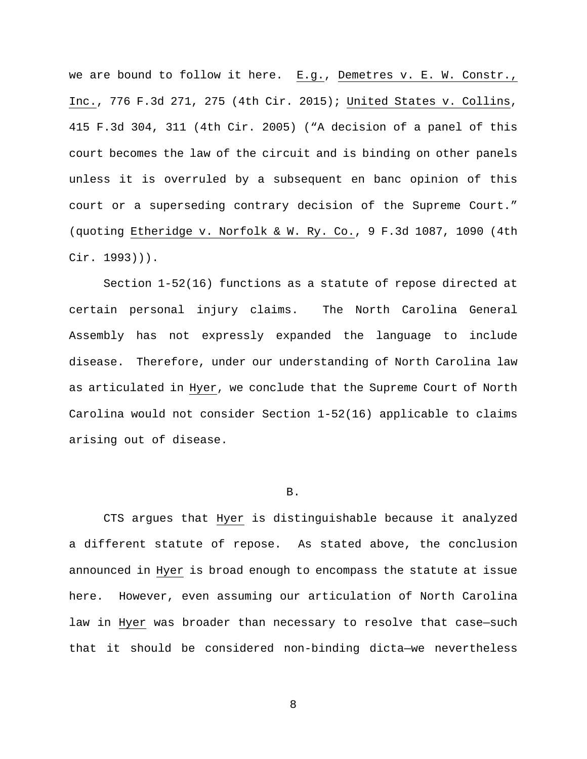we are bound to follow it here. E.g., Demetres v. E. W. Constr., Inc., 776 F.3d 271, 275 (4th Cir. 2015); United States v. Collins, 415 F.3d 304, 311 (4th Cir. 2005) ("A decision of a panel of this court becomes the law of the circuit and is binding on other panels unless it is overruled by a subsequent en banc opinion of this court or a superseding contrary decision of the Supreme Court." (quoting Etheridge v. Norfolk & W. Ry. Co., 9 F.3d 1087, 1090 (4th Cir. 1993))).

Section 1-52(16) functions as a statute of repose directed at certain personal injury claims. The North Carolina General Assembly has not expressly expanded the language to include disease. Therefore, under our understanding of North Carolina law as articulated in Hyer, we conclude that the Supreme Court of North Carolina would not consider Section 1-52(16) applicable to claims arising out of disease.

### B.

CTS argues that Hyer is distinguishable because it analyzed a different statute of repose. As stated above, the conclusion announced in Hyer is broad enough to encompass the statute at issue here. However, even assuming our articulation of North Carolina law in Hyer was broader than necessary to resolve that case—such that it should be considered non-binding dicta—we nevertheless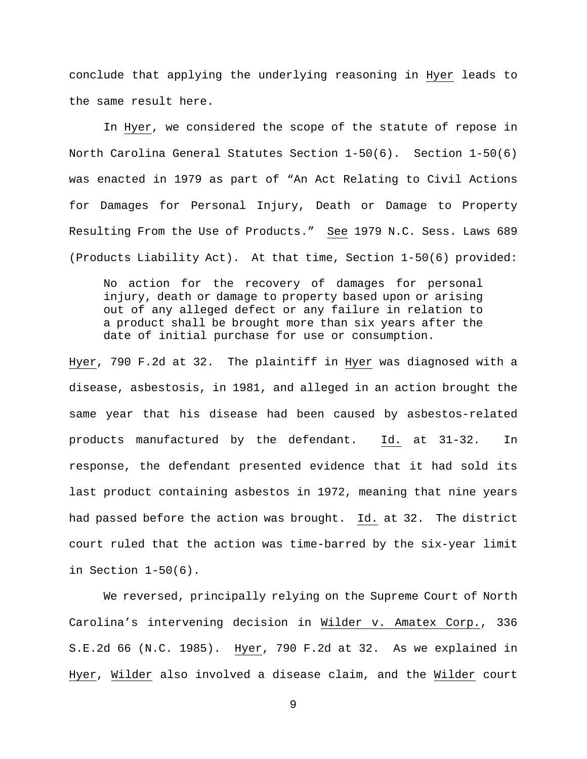conclude that applying the underlying reasoning in Hyer leads to the same result here.

In Hyer, we considered the scope of the statute of repose in North Carolina General Statutes Section 1-50(6). Section 1-50(6) was enacted in 1979 as part of "An Act Relating to Civil Actions for Damages for Personal Injury, Death or Damage to Property Resulting From the Use of Products." See 1979 N.C. Sess. Laws 689 (Products Liability Act). At that time, Section 1-50(6) provided:

No action for the recovery of damages for personal injury, death or damage to property based upon or arising out of any alleged defect or any failure in relation to a product shall be brought more than six years after the date of initial purchase for use or consumption.

Hyer, 790 F.2d at 32. The plaintiff in Hyer was diagnosed with a disease, asbestosis, in 1981, and alleged in an action brought the same year that his disease had been caused by asbestos-related products manufactured by the defendant. Id. at 31-32. In response, the defendant presented evidence that it had sold its last product containing asbestos in 1972, meaning that nine years had passed before the action was brought. Id. at 32. The district court ruled that the action was time-barred by the six-year limit in Section 1-50(6).

We reversed, principally relying on the Supreme Court of North Carolina's intervening decision in Wilder v. Amatex Corp., 336 S.E.2d 66 (N.C. 1985). Hyer, 790 F.2d at 32. As we explained in Hyer, Wilder also involved a disease claim, and the Wilder court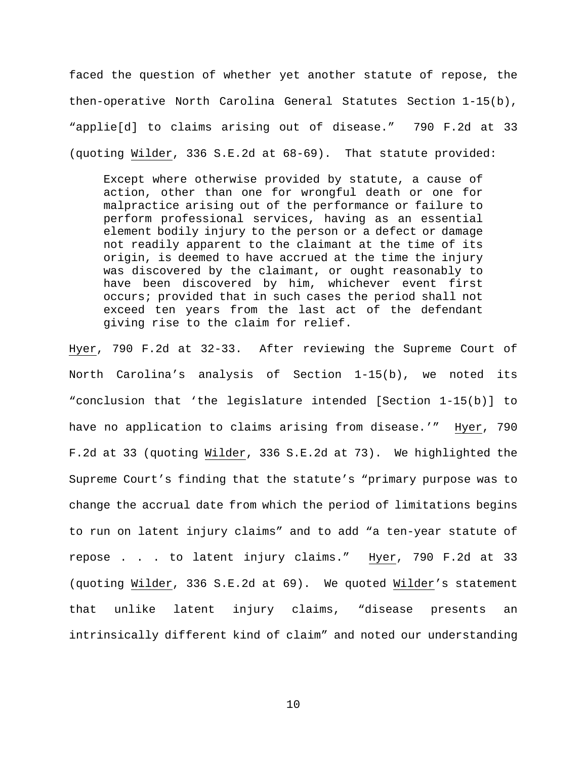faced the question of whether yet another statute of repose, the then-operative North Carolina General Statutes Section 1-15(b), "applie[d] to claims arising out of disease." 790 F.2d at 33 (quoting Wilder, 336 S.E.2d at 68-69). That statute provided:

Except where otherwise provided by statute, a cause of action, other than one for wrongful death or one for malpractice arising out of the performance or failure to perform professional services, having as an essential element bodily injury to the person or a defect or damage not readily apparent to the claimant at the time of its origin, is deemed to have accrued at the time the injury was discovered by the claimant, or ought reasonably to have been discovered by him, whichever event first occurs; provided that in such cases the period shall not exceed ten years from the last act of the defendant giving rise to the claim for relief.

Hyer, 790 F.2d at 32-33. After reviewing the Supreme Court of North Carolina's analysis of Section 1-15(b), we noted its "conclusion that 'the legislature intended [Section 1-15(b)] to have no application to claims arising from disease.'" Hyer, 790 F.2d at 33 (quoting Wilder, 336 S.E.2d at 73). We highlighted the Supreme Court's finding that the statute's "primary purpose was to change the accrual date from which the period of limitations begins to run on latent injury claims" and to add "a ten-year statute of repose . . . to latent injury claims." Hyer, 790 F.2d at 33 (quoting Wilder, 336 S.E.2d at 69). We quoted Wilder's statement that unlike latent injury claims, "disease presents an intrinsically different kind of claim" and noted our understanding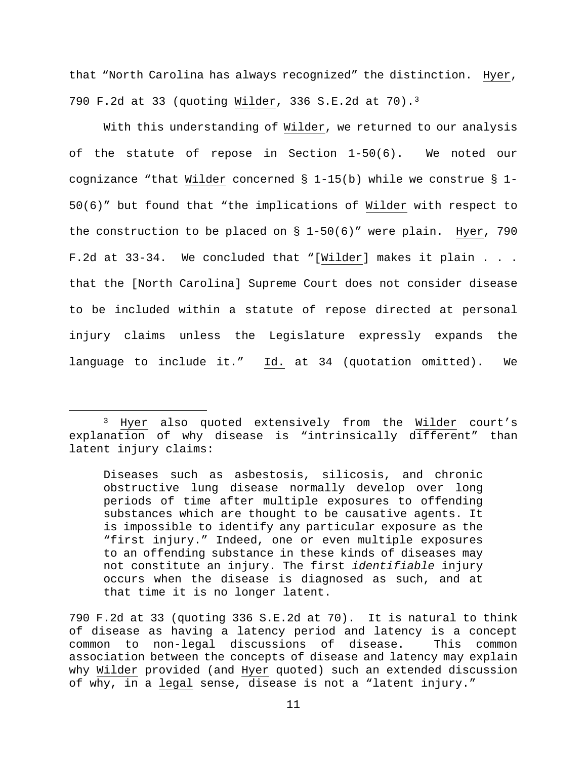that "North Carolina has always recognized" the distinction. Hyer, 790 F.2d at 33 (quoting Wilder, 336 S.E.2d at 70)[.3](#page-10-0)

With this understanding of Wilder, we returned to our analysis of the statute of repose in Section 1-50(6). We noted our cognizance "that Wilder concerned § 1-15(b) while we construe § 1- 50(6)" but found that "the implications of Wilder with respect to the construction to be placed on § 1-50(6)" were plain. Hyer, 790 F.2d at 33-34. We concluded that "[Wilder] makes it plain . . . that the [North Carolina] Supreme Court does not consider disease to be included within a statute of repose directed at personal injury claims unless the Legislature expressly expands the language to include it." Id. at 34 (quotation omitted). We

<span id="page-10-0"></span> <sup>3</sup> Hyer also quoted extensively from the Wilder court's explanation of why disease is "intrinsically different" than latent injury claims:

Diseases such as asbestosis, silicosis, and chronic obstructive lung disease normally develop over long periods of time after multiple exposures to offending substances which are thought to be causative agents. It is impossible to identify any particular exposure as the "first injury." Indeed, one or even multiple exposures to an offending substance in these kinds of diseases may not constitute an injury. The first *identifiable* injury occurs when the disease is diagnosed as such, and at that time it is no longer latent.

<sup>790</sup> F.2d at 33 (quoting 336 S.E.2d at 70). It is natural to think of disease as having a latency period and latency is a concept<br>common to non-legal discussions of disease. This common common to non-legal discussions of disease. association between the concepts of disease and latency may explain why Wilder provided (and Hyer quoted) such an extended discussion of why, in a legal sense, disease is not a "latent injury."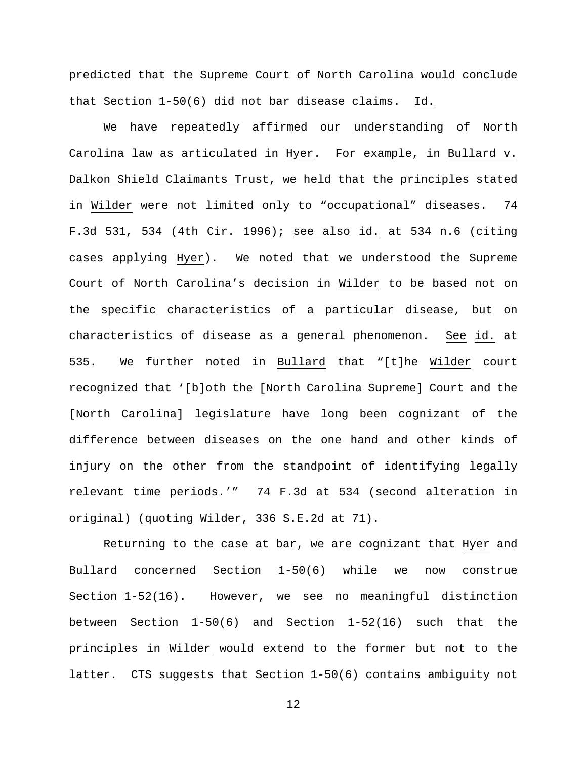predicted that the Supreme Court of North Carolina would conclude that Section 1-50(6) did not bar disease claims. Id.

We have repeatedly affirmed our understanding of North Carolina law as articulated in Hyer. For example, in Bullard v. Dalkon Shield Claimants Trust, we held that the principles stated in Wilder were not limited only to "occupational" diseases. 74 F.3d 531, 534 (4th Cir. 1996); see also id. at 534 n.6 (citing cases applying Hyer). We noted that we understood the Supreme Court of North Carolina's decision in Wilder to be based not on the specific characteristics of a particular disease, but on characteristics of disease as a general phenomenon. See id. at 535. We further noted in Bullard that "[t]he Wilder court recognized that '[b]oth the [North Carolina Supreme] Court and the [North Carolina] legislature have long been cognizant of the difference between diseases on the one hand and other kinds of injury on the other from the standpoint of identifying legally relevant time periods.'" 74 F.3d at 534 (second alteration in original) (quoting Wilder, 336 S.E.2d at 71).

Returning to the case at bar, we are cognizant that Hyer and Bullard concerned Section 1-50(6) while we now construe Section 1-52(16). However, we see no meaningful distinction between Section 1-50(6) and Section 1-52(16) such that the principles in Wilder would extend to the former but not to the latter. CTS suggests that Section 1-50(6) contains ambiguity not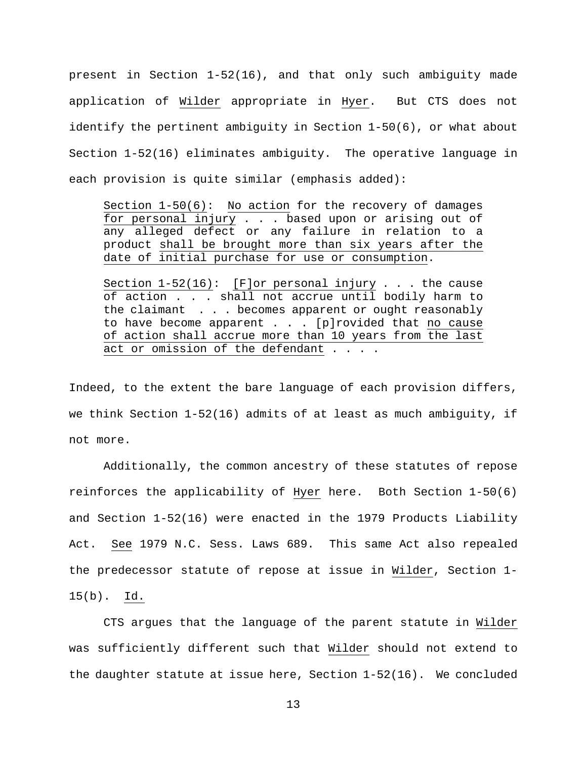present in Section 1-52(16), and that only such ambiguity made application of Wilder appropriate in Hyer. But CTS does not identify the pertinent ambiguity in Section 1-50(6), or what about Section 1-52(16) eliminates ambiguity. The operative language in each provision is quite similar (emphasis added):

Section 1-50(6): No action for the recovery of damages for personal injury . . . based upon or arising out of any alleged defect or any failure in relation to a product shall be brought more than six years after the date of initial purchase for use or consumption.

Section  $1-52(16)$ : [F]or personal injury . . . the cause of action . . . shall not accrue until bodily harm to the claimant . . . becomes apparent or ought reasonably to have become apparent  $\ldots$  . [p]rovided that no cause of action shall accrue more than 10 years from the last act or omission of the defendant . . . .

Indeed, to the extent the bare language of each provision differs, we think Section 1-52(16) admits of at least as much ambiguity, if not more.

Additionally, the common ancestry of these statutes of repose reinforces the applicability of Hyer here. Both Section 1-50(6) and Section 1-52(16) were enacted in the 1979 Products Liability Act. See 1979 N.C. Sess. Laws 689. This same Act also repealed the predecessor statute of repose at issue in Wilder, Section 1- 15(b). Id.

CTS argues that the language of the parent statute in Wilder was sufficiently different such that Wilder should not extend to the daughter statute at issue here, Section 1-52(16). We concluded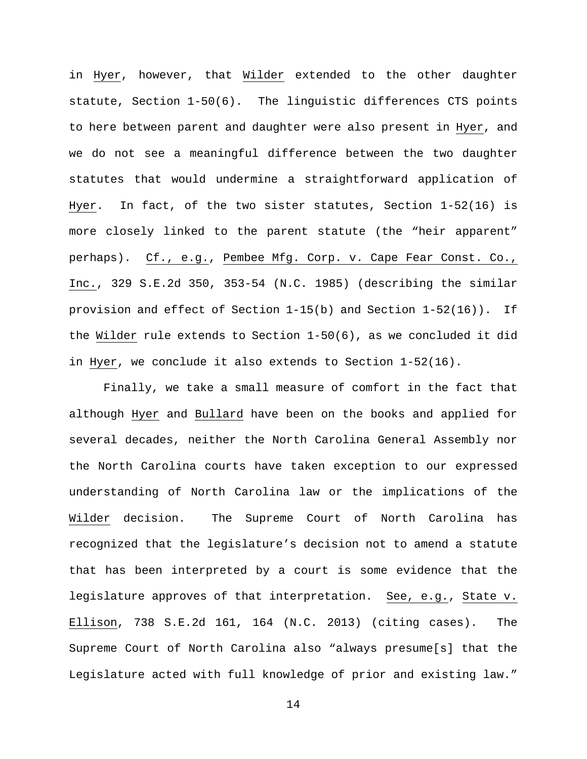in Hyer, however, that Wilder extended to the other daughter statute, Section 1-50(6). The linguistic differences CTS points to here between parent and daughter were also present in Hyer, and we do not see a meaningful difference between the two daughter statutes that would undermine a straightforward application of Hyer. In fact, of the two sister statutes, Section 1-52(16) is more closely linked to the parent statute (the "heir apparent" perhaps). Cf., e.g., Pembee Mfg. Corp. v. Cape Fear Const. Co., Inc., 329 S.E.2d 350, 353-54 (N.C. 1985) (describing the similar provision and effect of Section 1-15(b) and Section 1-52(16)). If the Wilder rule extends to Section 1-50(6), as we concluded it did in Hyer, we conclude it also extends to Section 1-52(16).

Finally, we take a small measure of comfort in the fact that although Hyer and Bullard have been on the books and applied for several decades, neither the North Carolina General Assembly nor the North Carolina courts have taken exception to our expressed understanding of North Carolina law or the implications of the Wilder decision. The Supreme Court of North Carolina has recognized that the legislature's decision not to amend a statute that has been interpreted by a court is some evidence that the legislature approves of that interpretation. See, e.g., State v. Ellison, 738 S.E.2d 161, 164 (N.C. 2013) (citing cases). The Supreme Court of North Carolina also "always presume[s] that the Legislature acted with full knowledge of prior and existing law."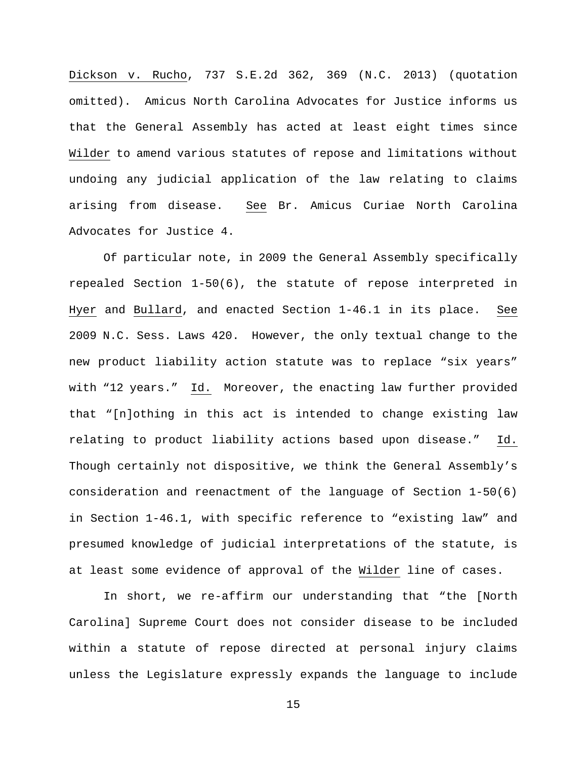Dickson v. Rucho, 737 S.E.2d 362, 369 (N.C. 2013) (quotation omitted). Amicus North Carolina Advocates for Justice informs us that the General Assembly has acted at least eight times since Wilder to amend various statutes of repose and limitations without undoing any judicial application of the law relating to claims arising from disease. See Br. Amicus Curiae North Carolina Advocates for Justice 4.

Of particular note, in 2009 the General Assembly specifically repealed Section 1-50(6), the statute of repose interpreted in Hyer and Bullard, and enacted Section 1-46.1 in its place. See 2009 N.C. Sess. Laws 420. However, the only textual change to the new product liability action statute was to replace "six years" with "12 years." Id. Moreover, the enacting law further provided that "[n]othing in this act is intended to change existing law relating to product liability actions based upon disease." Id. Though certainly not dispositive, we think the General Assembly's consideration and reenactment of the language of Section 1-50(6) in Section 1-46.1, with specific reference to "existing law" and presumed knowledge of judicial interpretations of the statute, is at least some evidence of approval of the Wilder line of cases.

In short, we re-affirm our understanding that "the [North Carolina] Supreme Court does not consider disease to be included within a statute of repose directed at personal injury claims unless the Legislature expressly expands the language to include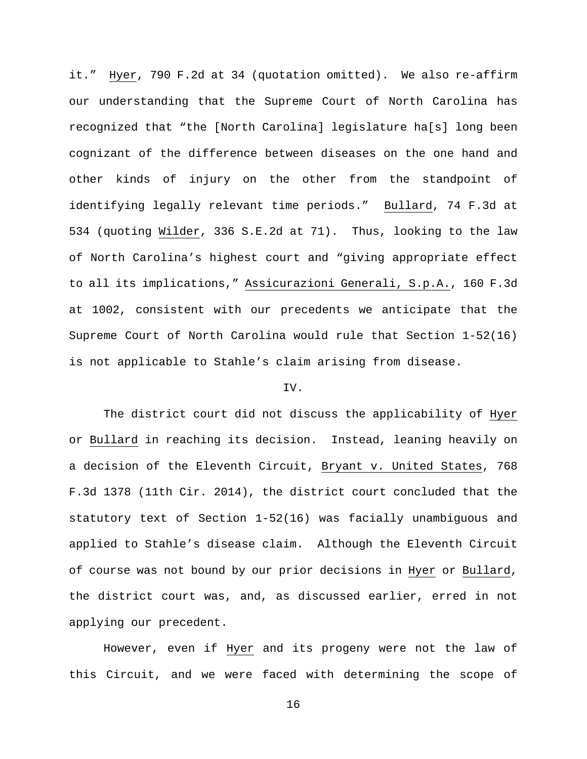it." Hyer, 790 F.2d at 34 (quotation omitted). We also re-affirm our understanding that the Supreme Court of North Carolina has recognized that "the [North Carolina] legislature ha[s] long been cognizant of the difference between diseases on the one hand and other kinds of injury on the other from the standpoint of identifying legally relevant time periods." Bullard, 74 F.3d at 534 (quoting Wilder, 336 S.E.2d at 71). Thus, looking to the law of North Carolina's highest court and "giving appropriate effect to all its implications," Assicurazioni Generali, S.p.A., 160 F.3d at 1002, consistent with our precedents we anticipate that the Supreme Court of North Carolina would rule that Section 1-52(16) is not applicable to Stahle's claim arising from disease.

## IV.

The district court did not discuss the applicability of Hyer or Bullard in reaching its decision. Instead, leaning heavily on a decision of the Eleventh Circuit, Bryant v. United States, 768 F.3d 1378 (11th Cir. 2014), the district court concluded that the statutory text of Section 1-52(16) was facially unambiguous and applied to Stahle's disease claim. Although the Eleventh Circuit of course was not bound by our prior decisions in Hyer or Bullard, the district court was, and, as discussed earlier, erred in not applying our precedent.

However, even if Hyer and its progeny were not the law of this Circuit, and we were faced with determining the scope of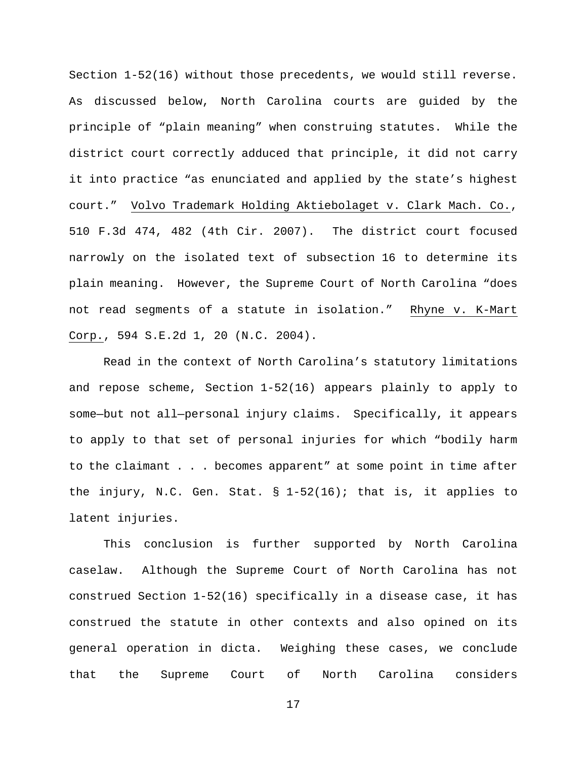Section 1-52(16) without those precedents, we would still reverse. As discussed below, North Carolina courts are guided by the principle of "plain meaning" when construing statutes. While the district court correctly adduced that principle, it did not carry it into practice "as enunciated and applied by the state's highest court." Volvo Trademark Holding Aktiebolaget v. Clark Mach. Co., 510 F.3d 474, 482 (4th Cir. 2007). The district court focused narrowly on the isolated text of subsection 16 to determine its plain meaning. However, the Supreme Court of North Carolina "does not read segments of a statute in isolation." Rhyne v. K-Mart Corp., 594 S.E.2d 1, 20 (N.C. 2004).

Read in the context of North Carolina's statutory limitations and repose scheme, Section 1-52(16) appears plainly to apply to some—but not all—personal injury claims. Specifically, it appears to apply to that set of personal injuries for which "bodily harm to the claimant . . . becomes apparent" at some point in time after the injury, N.C. Gen. Stat. § 1-52(16); that is, it applies to latent injuries.

This conclusion is further supported by North Carolina caselaw. Although the Supreme Court of North Carolina has not construed Section 1-52(16) specifically in a disease case, it has construed the statute in other contexts and also opined on its general operation in dicta. Weighing these cases, we conclude that the Supreme Court of North Carolina considers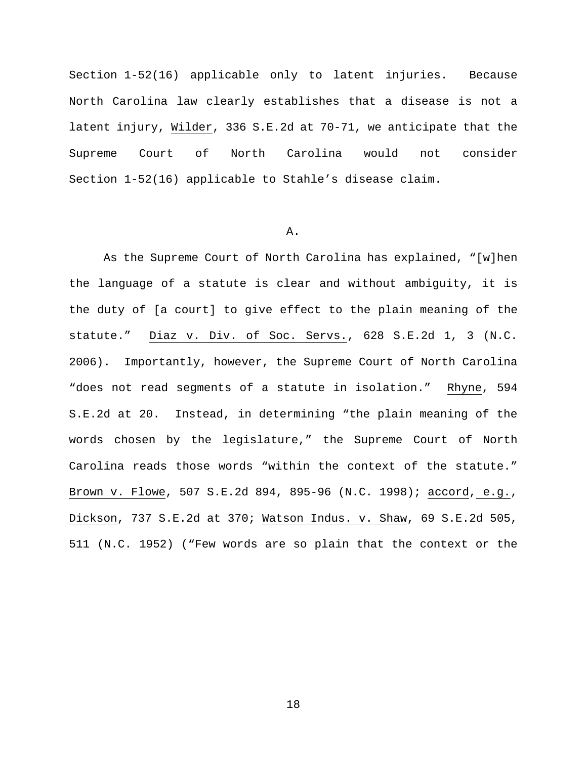Section 1-52(16) applicable only to latent injuries. Because North Carolina law clearly establishes that a disease is not a latent injury, Wilder, 336 S.E.2d at 70-71, we anticipate that the Supreme Court of North Carolina would not consider Section 1-52(16) applicable to Stahle's disease claim.

#### A.

As the Supreme Court of North Carolina has explained, "[w]hen the language of a statute is clear and without ambiguity, it is the duty of [a court] to give effect to the plain meaning of the statute." Diaz v. Div. of Soc. Servs., 628 S.E.2d 1, 3 (N.C. 2006). Importantly, however, the Supreme Court of North Carolina "does not read segments of a statute in isolation." Rhyne, 594 S.E.2d at 20. Instead, in determining "the plain meaning of the words chosen by the legislature," the Supreme Court of North Carolina reads those words "within the context of the statute." Brown v. Flowe, 507 S.E.2d 894, 895-96 (N.C. 1998); accord, e.g., Dickson, 737 S.E.2d at 370; Watson Indus. v. Shaw, 69 S.E.2d 505, 511 (N.C. 1952) ("Few words are so plain that the context or the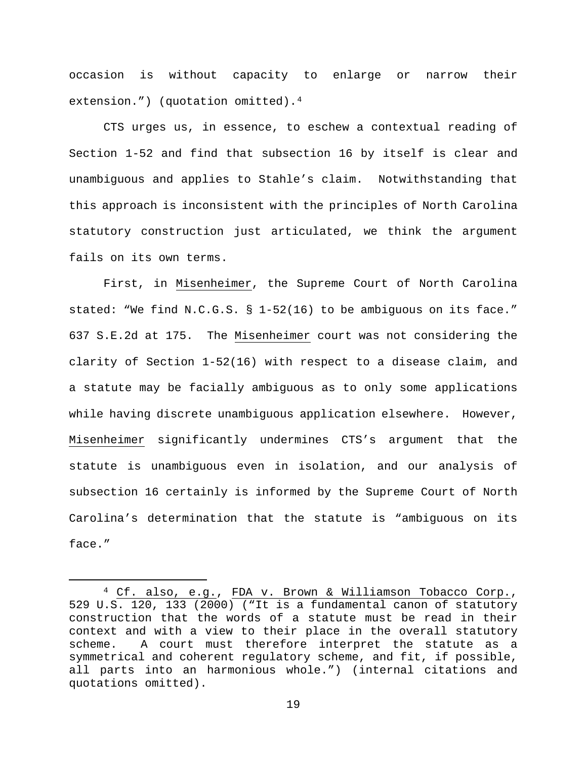occasion is without capacity to enlarge or narrow their extension.") (quotation omitted).<sup>[4](#page-18-0)</sup>

CTS urges us, in essence, to eschew a contextual reading of Section 1-52 and find that subsection 16 by itself is clear and unambiguous and applies to Stahle's claim. Notwithstanding that this approach is inconsistent with the principles of North Carolina statutory construction just articulated, we think the argument fails on its own terms.

First, in Misenheimer, the Supreme Court of North Carolina stated: "We find N.C.G.S. § 1-52(16) to be ambiguous on its face." 637 S.E.2d at 175. The Misenheimer court was not considering the clarity of Section 1-52(16) with respect to a disease claim, and a statute may be facially ambiguous as to only some applications while having discrete unambiguous application elsewhere. However, Misenheimer significantly undermines CTS's argument that the statute is unambiguous even in isolation, and our analysis of subsection 16 certainly is informed by the Supreme Court of North Carolina's determination that the statute is "ambiguous on its face."

<span id="page-18-0"></span> <sup>4</sup> Cf. also, e.g., FDA v. Brown & Williamson Tobacco Corp., 529 U.S. 120, 133 (2000) ("It is a fundamental canon of statutory construction that the words of a statute must be read in their context and with a view to their place in the overall statutory scheme. A court must therefore interpret the statute as a symmetrical and coherent regulatory scheme, and fit, if possible, all parts into an harmonious whole.") (internal citations and quotations omitted).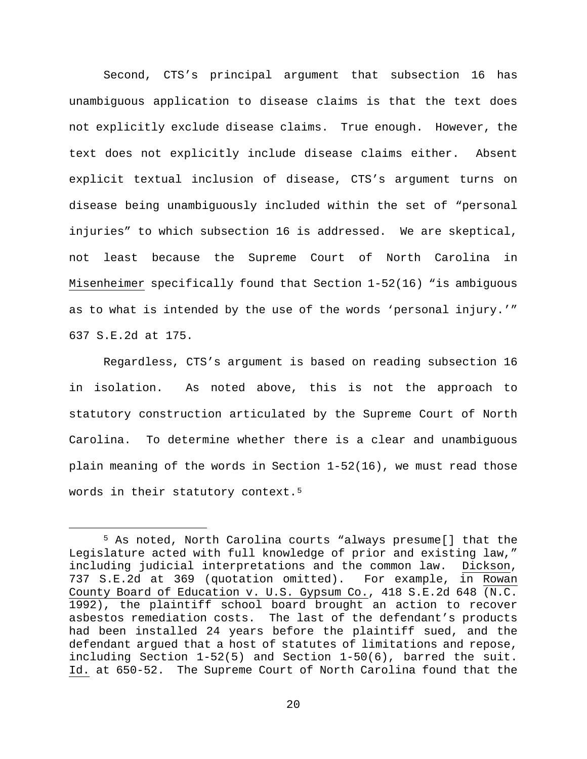Second, CTS's principal argument that subsection 16 has unambiguous application to disease claims is that the text does not explicitly exclude disease claims. True enough. However, the text does not explicitly include disease claims either. Absent explicit textual inclusion of disease, CTS's argument turns on disease being unambiguously included within the set of "personal injuries" to which subsection 16 is addressed. We are skeptical, not least because the Supreme Court of North Carolina in Misenheimer specifically found that Section 1-52(16) "is ambiguous as to what is intended by the use of the words 'personal injury.'" 637 S.E.2d at 175.

Regardless, CTS's argument is based on reading subsection 16 in isolation. As noted above, this is not the approach to statutory construction articulated by the Supreme Court of North Carolina. To determine whether there is a clear and unambiguous plain meaning of the words in Section 1-52(16), we must read those words in their statutory context.<sup>[5](#page-19-0)</sup>

<span id="page-19-0"></span> <sup>5</sup> As noted, North Carolina courts "always presume[] that the Legislature acted with full knowledge of prior and existing law," including judicial interpretations and the common law. Dickson, 737 S.E.2d at 369 (quotation omitted). For example, in Rowan County Board of Education v. U.S. Gypsum Co., 418 S.E.2d 648 (N.C. 1992), the plaintiff school board brought an action to recover asbestos remediation costs. The last of the defendant's products had been installed 24 years before the plaintiff sued, and the defendant argued that a host of statutes of limitations and repose, including Section 1-52(5) and Section 1-50(6), barred the suit. Id. at 650-52. The Supreme Court of North Carolina found that the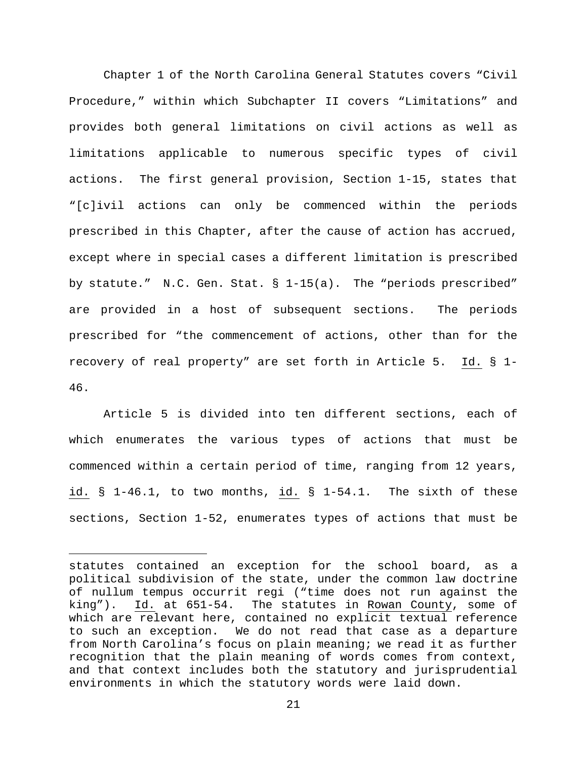Chapter 1 of the North Carolina General Statutes covers "Civil Procedure," within which Subchapter II covers "Limitations" and provides both general limitations on civil actions as well as limitations applicable to numerous specific types of civil actions. The first general provision, Section 1-15, states that "[c]ivil actions can only be commenced within the periods prescribed in this Chapter, after the cause of action has accrued, except where in special cases a different limitation is prescribed by statute." N.C. Gen. Stat. § 1-15(a). The "periods prescribed" are provided in a host of subsequent sections. The periods prescribed for "the commencement of actions, other than for the recovery of real property" are set forth in Article 5. Id. § 1- 46.

Article 5 is divided into ten different sections, each of which enumerates the various types of actions that must be commenced within a certain period of time, ranging from 12 years, id. § 1-46.1, to two months, id. § 1-54.1. The sixth of these sections, Section 1-52, enumerates types of actions that must be

Ĩ.

statutes contained an exception for the school board, as a political subdivision of the state, under the common law doctrine of nullum tempus occurrit regi ("time does not run against the<br>king"). Id. at 651-54. The statutes in Rowan County, some of Id. at 651-54. The statutes in Rowan County, some of which are relevant here, contained no explicit textual reference to such an exception. We do not read that case as a departure from North Carolina's focus on plain meaning; we read it as further recognition that the plain meaning of words comes from context, and that context includes both the statutory and jurisprudential environments in which the statutory words were laid down.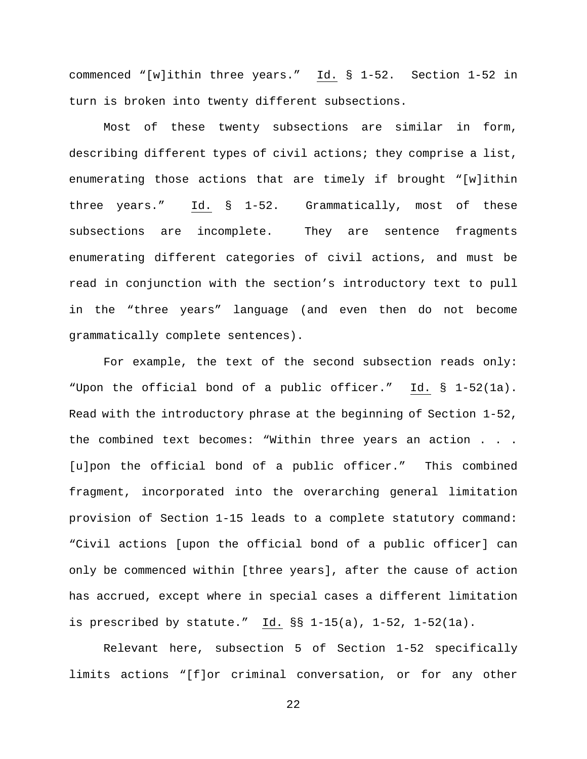commenced "[w]ithin three years." Id. § 1-52. Section 1-52 in turn is broken into twenty different subsections.

Most of these twenty subsections are similar in form, describing different types of civil actions; they comprise a list, enumerating those actions that are timely if brought "[w]ithin three years." Id. § 1-52. Grammatically, most of these subsections are incomplete. They are sentence fragments enumerating different categories of civil actions, and must be read in conjunction with the section's introductory text to pull in the "three years" language (and even then do not become grammatically complete sentences).

For example, the text of the second subsection reads only: "Upon the official bond of a public officer." Id. § 1-52(1a). Read with the introductory phrase at the beginning of Section 1-52, the combined text becomes: "Within three years an action . . . [u]pon the official bond of a public officer." This combined fragment, incorporated into the overarching general limitation provision of Section 1-15 leads to a complete statutory command: "Civil actions [upon the official bond of a public officer] can only be commenced within [three years], after the cause of action has accrued, except where in special cases a different limitation is prescribed by statute." Id. §§ 1-15(a), 1-52, 1-52(1a).

Relevant here, subsection 5 of Section 1-52 specifically limits actions "[f]or criminal conversation, or for any other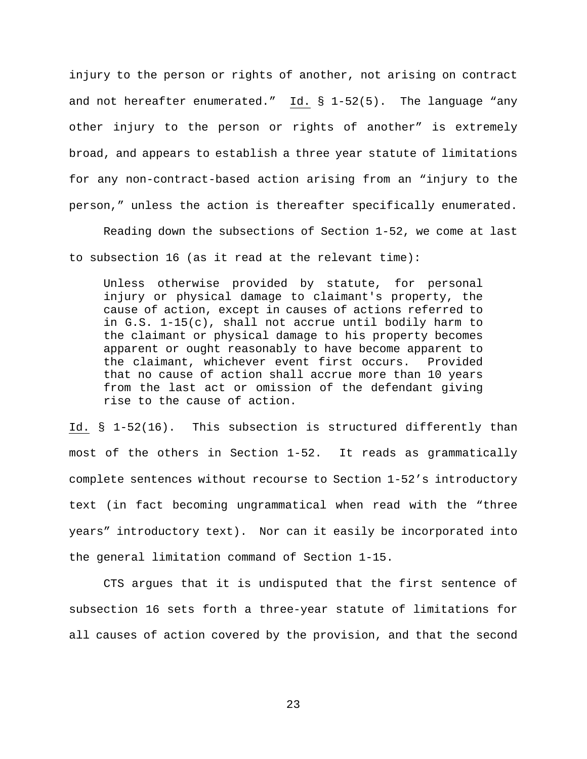injury to the person or rights of another, not arising on contract and not hereafter enumerated." Id. § 1-52(5). The language "any other injury to the person or rights of another" is extremely broad, and appears to establish a three year statute of limitations for any non-contract-based action arising from an "injury to the person," unless the action is thereafter specifically enumerated.

Reading down the subsections of Section 1-52, we come at last to subsection 16 (as it read at the relevant time):

Unless otherwise provided by statute, for personal injury or physical damage to claimant's property, the cause of action, except in causes of actions referred to in G.S. 1-15(c), shall not accrue until bodily harm to the claimant or physical damage to his property becomes apparent or ought reasonably to have become apparent to the claimant, whichever event first occurs. Provided that no cause of action shall accrue more than 10 years from the last act or omission of the defendant giving rise to the cause of action.

Id. § 1-52(16). This subsection is structured differently than most of the others in Section 1-52. It reads as grammatically complete sentences without recourse to Section 1-52's introductory text (in fact becoming ungrammatical when read with the "three years" introductory text). Nor can it easily be incorporated into the general limitation command of Section 1-15.

CTS argues that it is undisputed that the first sentence of subsection 16 sets forth a three-year statute of limitations for all causes of action covered by the provision, and that the second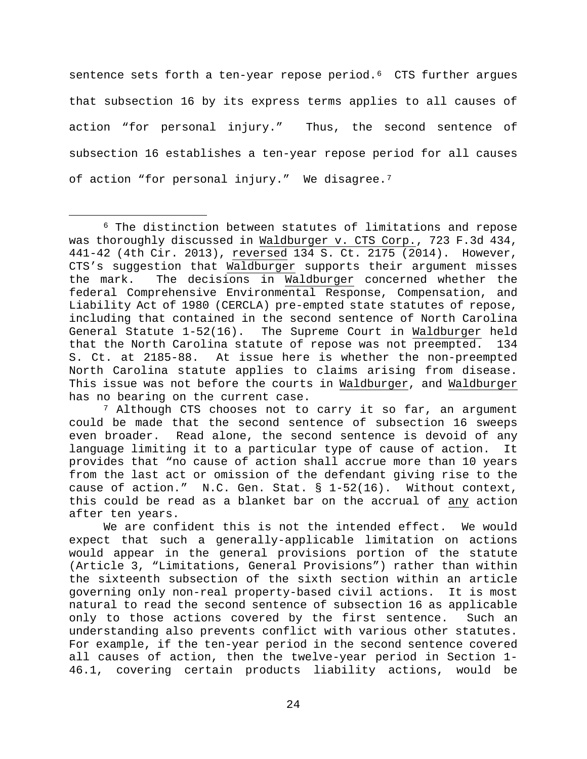sentence sets forth a ten-year repose period.<sup>[6](#page-23-0)</sup> CTS further argues that subsection 16 by its express terms applies to all causes of action "for personal injury." Thus, the second sentence of subsection 16 establishes a ten-year repose period for all causes of action "for personal injury." We disagree.<sup>7</sup>

<span id="page-23-1"></span><sup>7</sup> Although CTS chooses not to carry it so far, an argument could be made that the second sentence of subsection 16 sweeps even broader. Read alone, the second sentence is devoid of any language limiting it to a particular type of cause of action. It provides that "no cause of action shall accrue more than 10 years from the last act or omission of the defendant giving rise to the cause of action." N.C. Gen. Stat.  $\S$  1-52(16). Without context, this could be read as a blanket bar on the accrual of any action after ten years.

We are confident this is not the intended effect. We would expect that such a generally-applicable limitation on actions would appear in the general provisions portion of the statute (Article 3, "Limitations, General Provisions") rather than within the sixteenth subsection of the sixth section within an article governing only non-real property-based civil actions. It is most natural to read the second sentence of subsection 16 as applicable only to those actions covered by the first sentence. Such an understanding also prevents conflict with various other statutes. For example, if the ten-year period in the second sentence covered all causes of action, then the twelve-year period in Section 1- 46.1, covering certain products liability actions, would be

<span id="page-23-0"></span> <sup>6</sup> The distinction between statutes of limitations and repose was thoroughly discussed in Waldburger v. CTS Corp., 723 F.3d 434, 441-42 (4th Cir. 2013), reversed 134 S. Ct. 2175 (2014). However, CTS's suggestion that Waldburger supports their argument misses<br>the mark. The decisions in Waldburger concerned whether the The decisions in Waldburger concerned whether the federal Comprehensive Environmental Response, Compensation, and Liability Act of 1980 (CERCLA) pre-empted state statutes of repose, including that contained in the second sentence of North Carolina General Statute 1-52(16). The Supreme Court in Waldburger held that the North Carolina statute of repose was not preempted. 134 S. Ct. at 2185-88. At issue here is whether the non-preempted North Carolina statute applies to claims arising from disease. This issue was not before the courts in Waldburger, and Waldburger has no bearing on the current case.

<sup>24</sup>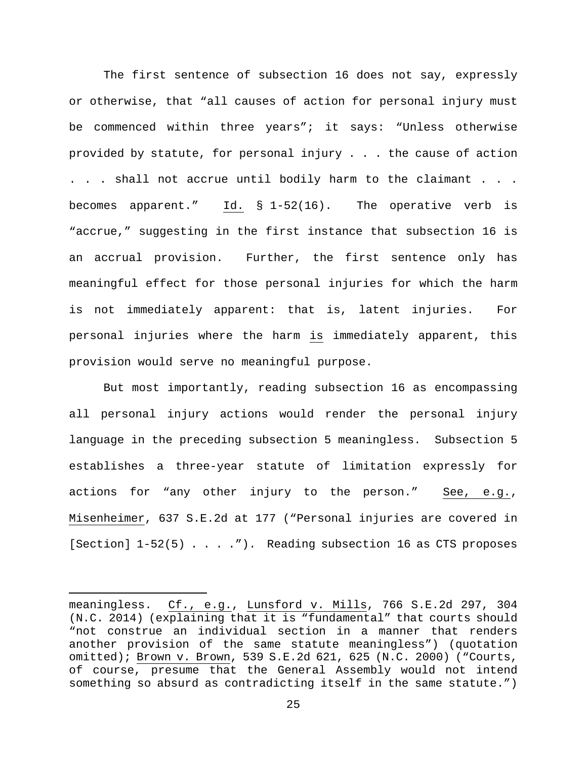The first sentence of subsection 16 does not say, expressly or otherwise, that "all causes of action for personal injury must be commenced within three years"; it says: "Unless otherwise provided by statute, for personal injury . . . the cause of action . . . shall not accrue until bodily harm to the claimant . . . becomes apparent." Id. § 1-52(16). The operative verb is "accrue," suggesting in the first instance that subsection 16 is an accrual provision. Further, the first sentence only has meaningful effect for those personal injuries for which the harm is not immediately apparent: that is, latent injuries. For personal injuries where the harm is immediately apparent, this provision would serve no meaningful purpose.

But most importantly, reading subsection 16 as encompassing all personal injury actions would render the personal injury language in the preceding subsection 5 meaningless. Subsection 5 establishes a three-year statute of limitation expressly for actions for "any other injury to the person." See, e.g., Misenheimer, 637 S.E.2d at 177 ("Personal injuries are covered in [Section] 1-52(5) . . . . "). Reading subsection 16 as CTS proposes

Ĩ.

meaningless. Cf., e.g., Lunsford v. Mills, 766 S.E.2d 297, 304 (N.C. 2014) (explaining that it is "fundamental" that courts should "not construe an individual section in a manner that renders another provision of the same statute meaningless") (quotation omitted); Brown v. Brown, 539 S.E.2d 621, 625 (N.C. 2000) ("Courts, of course, presume that the General Assembly would not intend something so absurd as contradicting itself in the same statute.")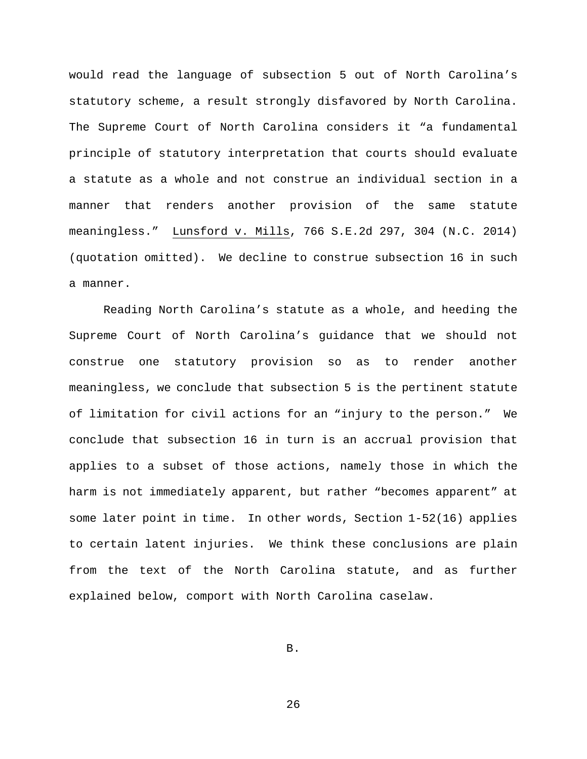would read the language of subsection 5 out of North Carolina's statutory scheme, a result strongly disfavored by North Carolina. The Supreme Court of North Carolina considers it "a fundamental principle of statutory interpretation that courts should evaluate a statute as a whole and not construe an individual section in a manner that renders another provision of the same statute meaningless." Lunsford v. Mills, 766 S.E.2d 297, 304 (N.C. 2014) (quotation omitted). We decline to construe subsection 16 in such a manner.

Reading North Carolina's statute as a whole, and heeding the Supreme Court of North Carolina's guidance that we should not construe one statutory provision so as to render another meaningless, we conclude that subsection 5 is the pertinent statute of limitation for civil actions for an "injury to the person." We conclude that subsection 16 in turn is an accrual provision that applies to a subset of those actions, namely those in which the harm is not immediately apparent, but rather "becomes apparent" at some later point in time. In other words, Section 1-52(16) applies to certain latent injuries. We think these conclusions are plain from the text of the North Carolina statute, and as further explained below, comport with North Carolina caselaw.

B.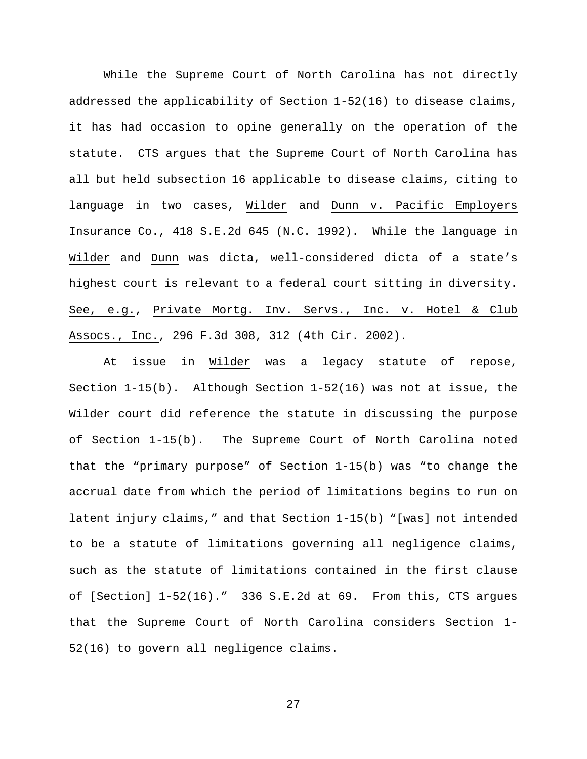While the Supreme Court of North Carolina has not directly addressed the applicability of Section 1-52(16) to disease claims, it has had occasion to opine generally on the operation of the statute. CTS argues that the Supreme Court of North Carolina has all but held subsection 16 applicable to disease claims, citing to language in two cases, Wilder and Dunn v. Pacific Employers Insurance Co., 418 S.E.2d 645 (N.C. 1992). While the language in Wilder and Dunn was dicta, well-considered dicta of a state's highest court is relevant to a federal court sitting in diversity. See, e.g., Private Mortg. Inv. Servs., Inc. v. Hotel & Club Assocs., Inc., 296 F.3d 308, 312 (4th Cir. 2002).

At issue in Wilder was a legacy statute of repose, Section 1-15(b). Although Section 1-52(16) was not at issue, the Wilder court did reference the statute in discussing the purpose of Section 1-15(b). The Supreme Court of North Carolina noted that the "primary purpose" of Section 1-15(b) was "to change the accrual date from which the period of limitations begins to run on latent injury claims," and that Section 1-15(b) "[was] not intended to be a statute of limitations governing all negligence claims, such as the statute of limitations contained in the first clause of [Section]  $1-52(16)$ ." 336 S.E.2d at 69. From this, CTS argues that the Supreme Court of North Carolina considers Section 1- 52(16) to govern all negligence claims.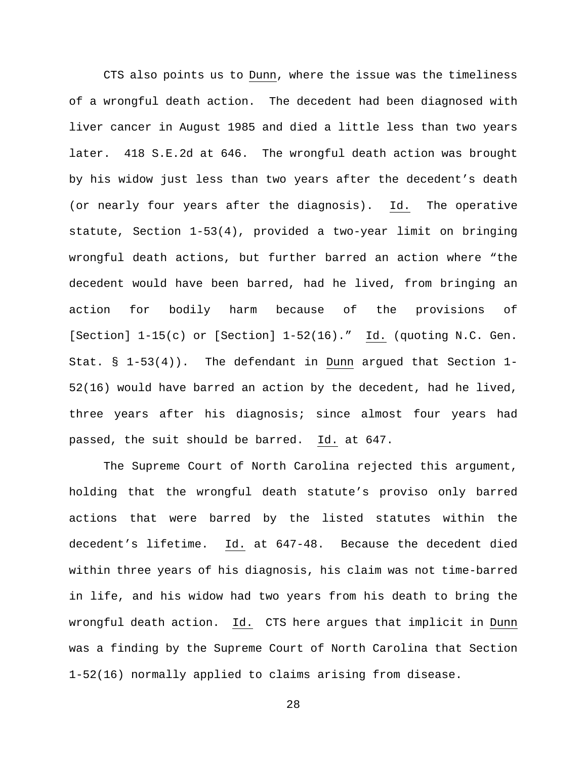CTS also points us to Dunn, where the issue was the timeliness of a wrongful death action. The decedent had been diagnosed with liver cancer in August 1985 and died a little less than two years later. 418 S.E.2d at 646. The wrongful death action was brought by his widow just less than two years after the decedent's death (or nearly four years after the diagnosis). Id. The operative statute, Section 1-53(4), provided a two-year limit on bringing wrongful death actions, but further barred an action where "the decedent would have been barred, had he lived, from bringing an action for bodily harm because of the provisions of [Section] 1-15(c) or [Section] 1-52(16)." Id. (quoting N.C. Gen. Stat. § 1-53(4)). The defendant in Dunn argued that Section 1- 52(16) would have barred an action by the decedent, had he lived, three years after his diagnosis; since almost four years had passed, the suit should be barred. Id. at 647.

The Supreme Court of North Carolina rejected this argument, holding that the wrongful death statute's proviso only barred actions that were barred by the listed statutes within the decedent's lifetime. Id. at 647-48. Because the decedent died within three years of his diagnosis, his claim was not time-barred in life, and his widow had two years from his death to bring the wrongful death action. Id. CTS here argues that implicit in Dunn was a finding by the Supreme Court of North Carolina that Section 1-52(16) normally applied to claims arising from disease.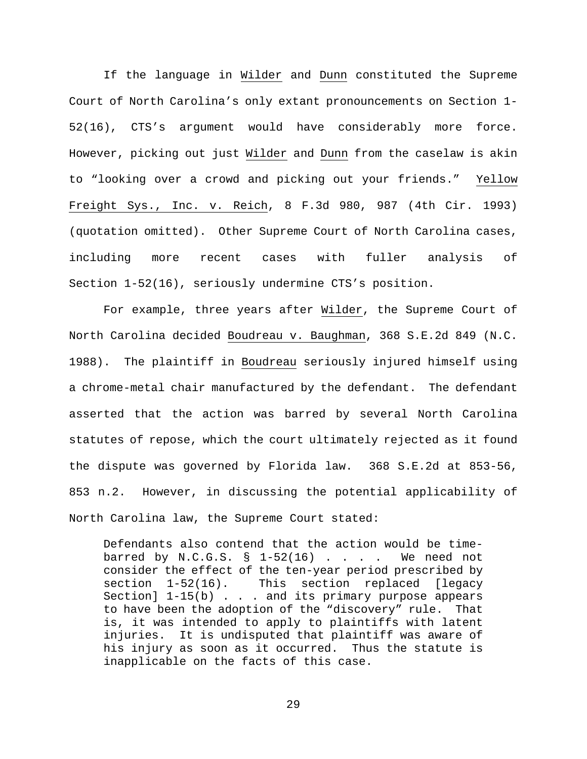If the language in Wilder and Dunn constituted the Supreme Court of North Carolina's only extant pronouncements on Section 1- 52(16), CTS's argument would have considerably more force. However, picking out just Wilder and Dunn from the caselaw is akin to "looking over a crowd and picking out your friends." Yellow Freight Sys., Inc. v. Reich, 8 F.3d 980, 987 (4th Cir. 1993) (quotation omitted). Other Supreme Court of North Carolina cases, including more recent cases with fuller analysis of Section 1-52(16), seriously undermine CTS's position.

For example, three years after Wilder, the Supreme Court of North Carolina decided Boudreau v. Baughman, 368 S.E.2d 849 (N.C. 1988). The plaintiff in Boudreau seriously injured himself using a chrome-metal chair manufactured by the defendant. The defendant asserted that the action was barred by several North Carolina statutes of repose, which the court ultimately rejected as it found the dispute was governed by Florida law. 368 S.E.2d at 853-56, 853 n.2. However, in discussing the potential applicability of North Carolina law, the Supreme Court stated:

Defendants also contend that the action would be timebarred by N.C.G.S.  $\S$  1-52(16) . . . . We need not consider the effect of the ten-year period prescribed by section 1-52(16). This section replaced [legacy Section] 1-15(b) . . . and its primary purpose appears to have been the adoption of the "discovery" rule. That is, it was intended to apply to plaintiffs with latent injuries. It is undisputed that plaintiff was aware of his injury as soon as it occurred. Thus the statute is inapplicable on the facts of this case.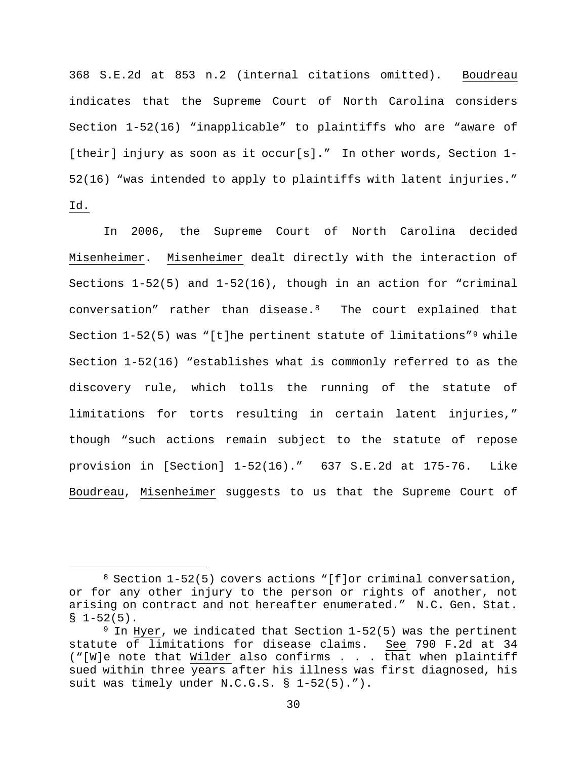368 S.E.2d at 853 n.2 (internal citations omitted). Boudreau indicates that the Supreme Court of North Carolina considers Section 1-52(16) "inapplicable" to plaintiffs who are "aware of [their] injury as soon as it occur[s]." In other words, Section 1-52(16) "was intended to apply to plaintiffs with latent injuries." Id.

In 2006, the Supreme Court of North Carolina decided Misenheimer. Misenheimer dealt directly with the interaction of Sections 1-52(5) and 1-52(16), though in an action for "criminal conversation" rather than disease.[8](#page-29-0) The court explained that Section 1-52(5) was "[t]he pertinent statute of limitations"<sup>[9](#page-29-1)</sup> while Section 1-52(16) "establishes what is commonly referred to as the discovery rule, which tolls the running of the statute of limitations for torts resulting in certain latent injuries," though "such actions remain subject to the statute of repose provision in [Section] 1-52(16)." 637 S.E.2d at 175-76. Like Boudreau, Misenheimer suggests to us that the Supreme Court of

<span id="page-29-0"></span> <sup>8</sup> Section 1-52(5) covers actions "[f]or criminal conversation, or for any other injury to the person or rights of another, not arising on contract and not hereafter enumerated." N.C. Gen. Stat.  $$1-52(5)$ .

<span id="page-29-1"></span> $9$  In Hyer, we indicated that Section  $1-52(5)$  was the pertinent statute of limitations for disease claims. See 790 F.2d at 34 ("[W]e note that Wilder also confirms . . .  $\overline{\text{that}}$  when plaintiff sued within three years after his illness was first diagnosed, his suit was timely under N.C.G.S. § 1-52(5).").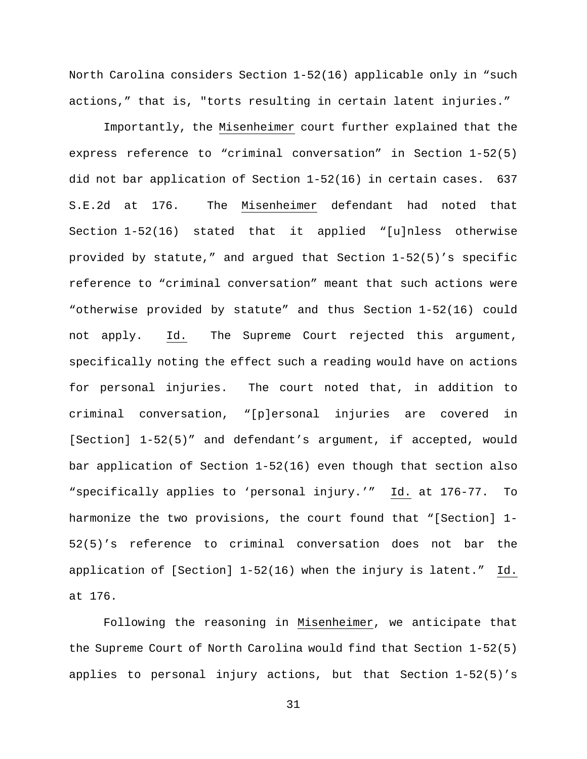North Carolina considers Section 1-52(16) applicable only in "such actions," that is, "torts resulting in certain latent injuries."

Importantly, the Misenheimer court further explained that the express reference to "criminal conversation" in Section 1-52(5) did not bar application of Section 1-52(16) in certain cases. 637 S.E.2d at 176. The Misenheimer defendant had noted that Section 1-52(16) stated that it applied "[u]nless otherwise provided by statute," and argued that Section 1-52(5)'s specific reference to "criminal conversation" meant that such actions were "otherwise provided by statute" and thus Section 1-52(16) could not apply. Id. The Supreme Court rejected this argument, specifically noting the effect such a reading would have on actions for personal injuries. The court noted that, in addition to criminal conversation, "[p]ersonal injuries are covered in [Section] 1-52(5)" and defendant's argument, if accepted, would bar application of Section 1-52(16) even though that section also "specifically applies to 'personal injury.'" Id. at 176-77. To harmonize the two provisions, the court found that "[Section] 1- 52(5)'s reference to criminal conversation does not bar the application of [Section] 1-52(16) when the injury is latent." Id. at 176.

Following the reasoning in Misenheimer, we anticipate that the Supreme Court of North Carolina would find that Section 1-52(5) applies to personal injury actions, but that Section 1-52(5)'s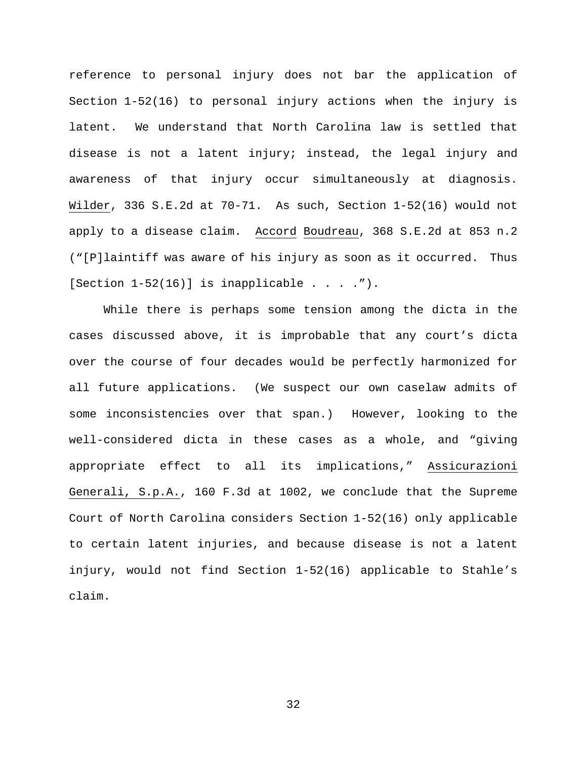reference to personal injury does not bar the application of Section 1-52(16) to personal injury actions when the injury is latent. We understand that North Carolina law is settled that disease is not a latent injury; instead, the legal injury and awareness of that injury occur simultaneously at diagnosis. Wilder, 336 S.E.2d at 70-71. As such, Section 1-52(16) would not apply to a disease claim. Accord Boudreau, 368 S.E.2d at 853 n.2 ("[P]laintiff was aware of his injury as soon as it occurred. Thus [Section  $1-52(16)$ ] is inapplicable . . . . ").

While there is perhaps some tension among the dicta in the cases discussed above, it is improbable that any court's dicta over the course of four decades would be perfectly harmonized for all future applications. (We suspect our own caselaw admits of some inconsistencies over that span.) However, looking to the well-considered dicta in these cases as a whole, and "giving appropriate effect to all its implications," Assicurazioni Generali, S.p.A., 160 F.3d at 1002, we conclude that the Supreme Court of North Carolina considers Section 1-52(16) only applicable to certain latent injuries, and because disease is not a latent injury, would not find Section 1-52(16) applicable to Stahle's claim.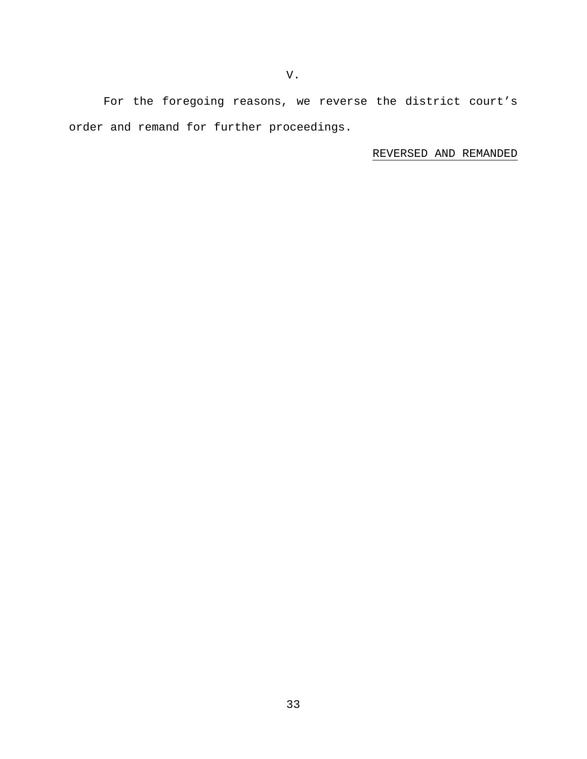For the foregoing reasons, we reverse the district court's order and remand for further proceedings.

REVERSED AND REMANDED

V.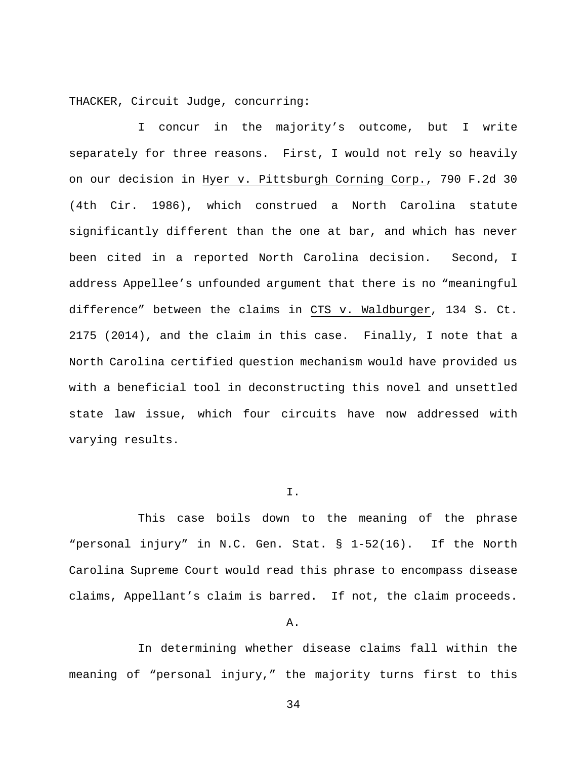THACKER, Circuit Judge, concurring:

I concur in the majority's outcome, but I write separately for three reasons. First, I would not rely so heavily on our decision in Hyer v. Pittsburgh Corning Corp., 790 F.2d 30 (4th Cir. 1986), which construed a North Carolina statute significantly different than the one at bar, and which has never been cited in a reported North Carolina decision. Second, I address Appellee's unfounded argument that there is no "meaningful difference" between the claims in CTS v. Waldburger, 134 S. Ct. 2175 (2014), and the claim in this case. Finally, I note that a North Carolina certified question mechanism would have provided us with a beneficial tool in deconstructing this novel and unsettled state law issue, which four circuits have now addressed with varying results.

### I.

This case boils down to the meaning of the phrase "personal injury" in N.C. Gen. Stat. § 1-52(16). If the North Carolina Supreme Court would read this phrase to encompass disease claims, Appellant's claim is barred. If not, the claim proceeds.

## A.

In determining whether disease claims fall within the meaning of "personal injury," the majority turns first to this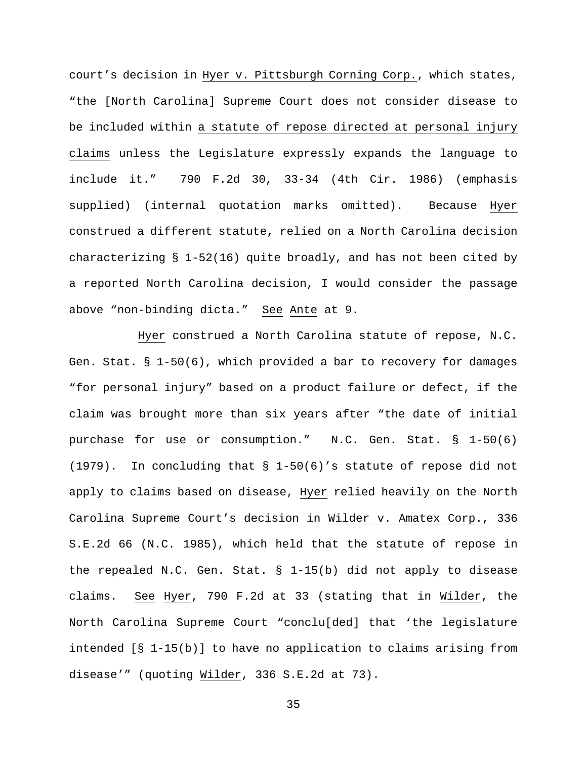court's decision in Hyer v. Pittsburgh Corning Corp., which states, "the [North Carolina] Supreme Court does not consider disease to be included within a statute of repose directed at personal injury claims unless the Legislature expressly expands the language to include it." 790 F.2d 30, 33-34 (4th Cir. 1986) (emphasis supplied) (internal quotation marks omitted). Because Hyer construed a different statute, relied on a North Carolina decision characterizing § 1-52(16) quite broadly, and has not been cited by a reported North Carolina decision, I would consider the passage above "non-binding dicta." See Ante at 9.

Hyer construed a North Carolina statute of repose, N.C. Gen. Stat.  $\S$  1-50(6), which provided a bar to recovery for damages "for personal injury" based on a product failure or defect, if the claim was brought more than six years after "the date of initial purchase for use or consumption." N.C. Gen. Stat. § 1-50(6) (1979). In concluding that § 1-50(6)'s statute of repose did not apply to claims based on disease, Hyer relied heavily on the North Carolina Supreme Court's decision in Wilder v. Amatex Corp., 336 S.E.2d 66 (N.C. 1985), which held that the statute of repose in the repealed N.C. Gen. Stat. § 1-15(b) did not apply to disease claims. See Hyer, 790 F.2d at 33 (stating that in Wilder, the North Carolina Supreme Court "conclu[ded] that 'the legislature intended [§ 1-15(b)] to have no application to claims arising from disease'" (quoting Wilder, 336 S.E.2d at 73).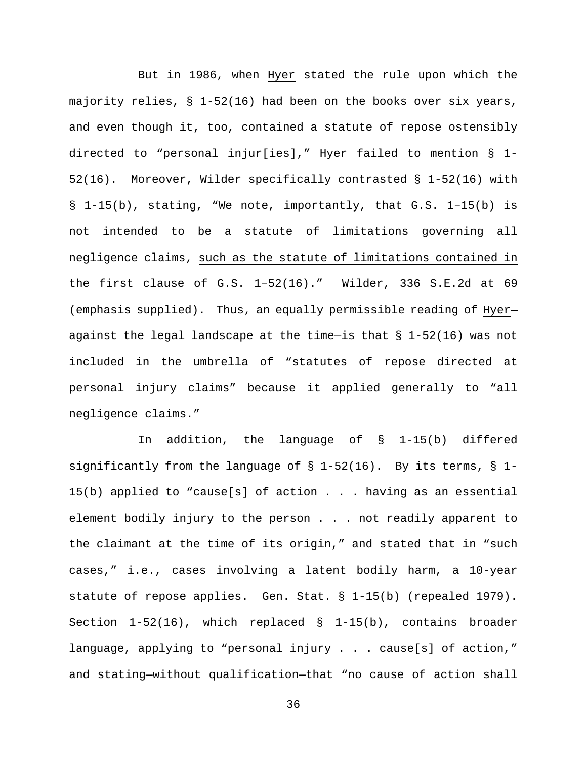But in 1986, when Hyer stated the rule upon which the majority relies, § 1-52(16) had been on the books over six years, and even though it, too, contained a statute of repose ostensibly directed to "personal injur[ies]," Hyer failed to mention § 1- 52(16). Moreover, Wilder specifically contrasted § 1-52(16) with § 1-15(b), stating, "We note, importantly, that G.S. 1–15(b) is not intended to be a statute of limitations governing all negligence claims, such as the statute of limitations contained in the first clause of G.S. 1–52(16)." Wilder, 336 S.E.2d at 69 (emphasis supplied). Thus, an equally permissible reading of Hyer against the legal landscape at the time-is that  $\S$  1-52(16) was not included in the umbrella of "statutes of repose directed at personal injury claims" because it applied generally to "all negligence claims."

In addition, the language of § 1-15(b) differed significantly from the language of  $\S$  1-52(16). By its terms,  $\S$  1-15(b) applied to "cause[s] of action  $\ldots$  . having as an essential element bodily injury to the person . . . not readily apparent to the claimant at the time of its origin," and stated that in "such cases," i.e., cases involving a latent bodily harm, a 10-year statute of repose applies. Gen. Stat. § 1-15(b) (repealed 1979). Section  $1-52(16)$ , which replaced §  $1-15(b)$ , contains broader language, applying to "personal injury . . . cause[s] of action," and stating—without qualification—that "no cause of action shall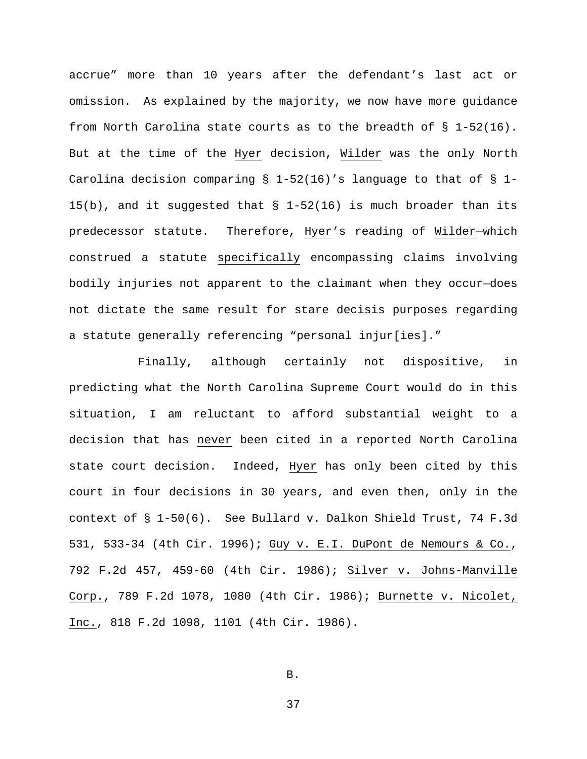accrue" more than 10 years after the defendant's last act or omission. As explained by the majority, we now have more guidance from North Carolina state courts as to the breadth of § 1-52(16). But at the time of the Hyer decision, Wilder was the only North Carolina decision comparing  $\S$  1-52(16)'s language to that of  $\S$  1-15(b), and it suggested that § 1-52(16) is much broader than its predecessor statute. Therefore, Hyer's reading of Wilder—which construed a statute specifically encompassing claims involving bodily injuries not apparent to the claimant when they occur—does not dictate the same result for stare decisis purposes regarding a statute generally referencing "personal injur[ies]."

Finally, although certainly not dispositive, in predicting what the North Carolina Supreme Court would do in this situation, I am reluctant to afford substantial weight to a decision that has never been cited in a reported North Carolina state court decision. Indeed, Hyer has only been cited by this court in four decisions in 30 years, and even then, only in the context of § 1-50(6). See Bullard v. Dalkon Shield Trust, 74 F.3d 531, 533-34 (4th Cir. 1996); Guy v. E.I. DuPont de Nemours & Co., 792 F.2d 457, 459-60 (4th Cir. 1986); Silver v. Johns-Manville Corp., 789 F.2d 1078, 1080 (4th Cir. 1986); Burnette v. Nicolet, Inc., 818 F.2d 1098, 1101 (4th Cir. 1986).

B.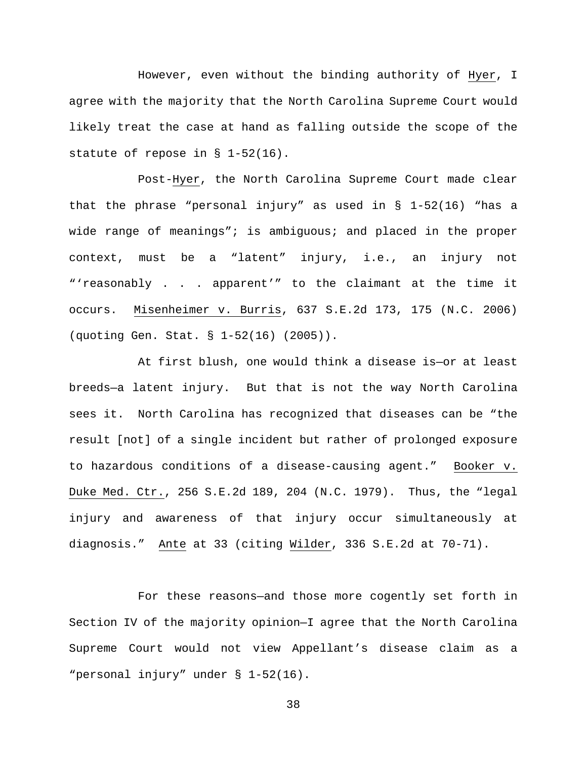However, even without the binding authority of Hyer, I agree with the majority that the North Carolina Supreme Court would likely treat the case at hand as falling outside the scope of the statute of repose in § 1-52(16).

Post-Hyer, the North Carolina Supreme Court made clear that the phrase "personal injury" as used in § 1-52(16) "has a wide range of meanings"; is ambiguous; and placed in the proper context, must be a "latent" injury, i.e., an injury not "'reasonably . . . apparent'" to the claimant at the time it occurs. Misenheimer v. Burris, 637 S.E.2d 173, 175 (N.C. 2006) (quoting Gen. Stat. § 1-52(16) (2005)).

At first blush, one would think a disease is—or at least breeds—a latent injury. But that is not the way North Carolina sees it. North Carolina has recognized that diseases can be "the result [not] of a single incident but rather of prolonged exposure to hazardous conditions of a disease-causing agent." Booker v. Duke Med. Ctr., 256 S.E.2d 189, 204 (N.C. 1979). Thus, the "legal injury and awareness of that injury occur simultaneously at diagnosis." Ante at 33 (citing Wilder, 336 S.E.2d at 70-71).

For these reasons—and those more cogently set forth in Section IV of the majority opinion—I agree that the North Carolina Supreme Court would not view Appellant's disease claim as a "personal injury" under § 1-52(16).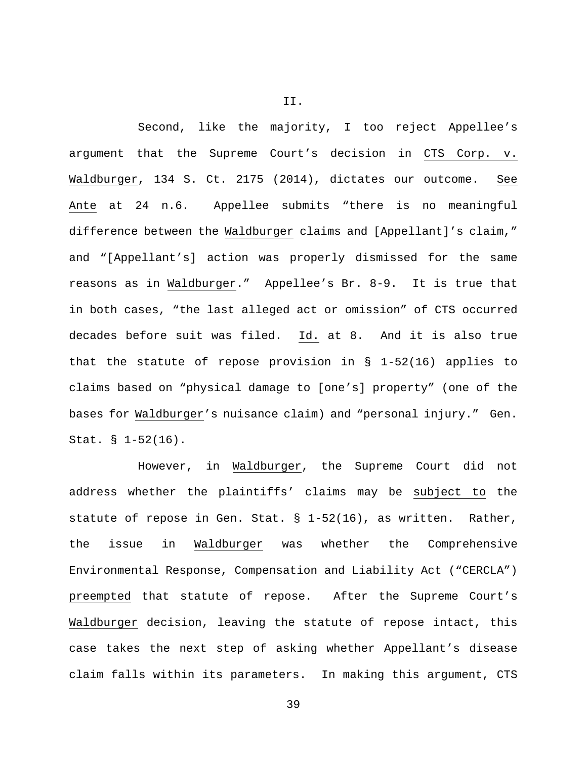Second, like the majority, I too reject Appellee's argument that the Supreme Court's decision in CTS Corp. v. Waldburger, 134 S. Ct. 2175 (2014), dictates our outcome. See Ante at 24 n.6. Appellee submits "there is no meaningful difference between the Waldburger claims and [Appellant]'s claim," and "[Appellant's] action was properly dismissed for the same reasons as in Waldburger." Appellee's Br. 8-9. It is true that in both cases, "the last alleged act or omission" of CTS occurred decades before suit was filed. Id. at 8. And it is also true that the statute of repose provision in § 1-52(16) applies to claims based on "physical damage to [one's] property" (one of the bases for Waldburger's nuisance claim) and "personal injury." Gen. Stat. § 1-52(16).

However, in Waldburger, the Supreme Court did not address whether the plaintiffs' claims may be subject to the statute of repose in Gen. Stat. § 1-52(16), as written. Rather, the issue in Waldburger was whether the Comprehensive Environmental Response, Compensation and Liability Act ("CERCLA") preempted that statute of repose. After the Supreme Court's Waldburger decision, leaving the statute of repose intact, this case takes the next step of asking whether Appellant's disease claim falls within its parameters. In making this argument, CTS

II.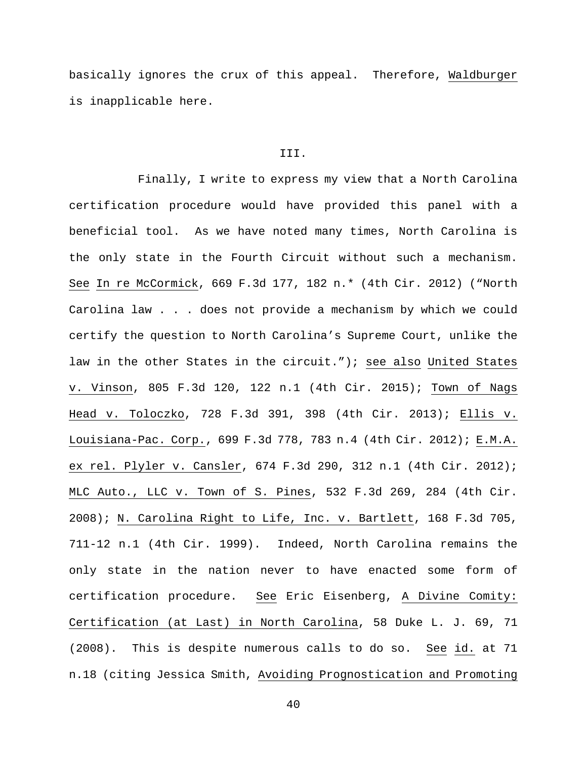basically ignores the crux of this appeal. Therefore, Waldburger is inapplicable here.

#### III.

Finally, I write to express my view that a North Carolina certification procedure would have provided this panel with a beneficial tool. As we have noted many times, North Carolina is the only state in the Fourth Circuit without such a mechanism. See In re McCormick, 669 F.3d 177, 182 n.\* (4th Cir. 2012) ("North Carolina law . . . does not provide a mechanism by which we could certify the question to North Carolina's Supreme Court, unlike the law in the other States in the circuit."); see also United States v. Vinson, 805 F.3d 120, 122 n.1 (4th Cir. 2015); Town of Nags Head v. Toloczko, 728 F.3d 391, 398 (4th Cir. 2013); Ellis v. Louisiana-Pac. Corp., 699 F.3d 778, 783 n.4 (4th Cir. 2012); E.M.A. ex rel. Plyler v. Cansler, 674 F.3d 290, 312 n.1 (4th Cir. 2012); MLC Auto., LLC v. Town of S. Pines, 532 F.3d 269, 284 (4th Cir. 2008); N. Carolina Right to Life, Inc. v. Bartlett, 168 F.3d 705, 711-12 n.1 (4th Cir. 1999). Indeed, North Carolina remains the only state in the nation never to have enacted some form of certification procedure. See Eric Eisenberg, A Divine Comity: Certification (at Last) in North Carolina, 58 Duke L. J. 69, 71 (2008). This is despite numerous calls to do so. See id. at 71 n.18 (citing Jessica Smith, Avoiding Prognostication and Promoting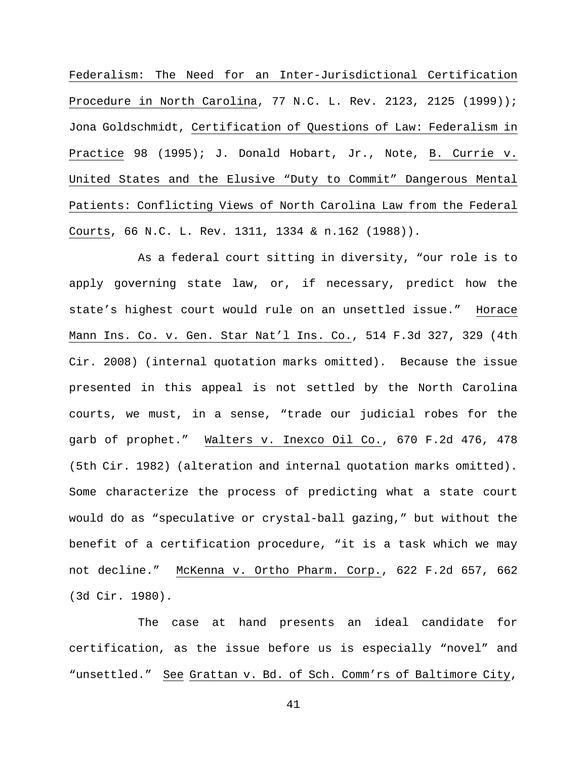Federalism: The Need for an Inter-Jurisdictional Certification Procedure in North Carolina, 77 N.C. L. Rev. 2123, 2125 (1999)); Jona Goldschmidt, Certification of Questions of Law: Federalism in Practice 98 (1995); J. Donald Hobart, Jr., Note, B. Currie v. United States and the Elusive "Duty to Commit" Dangerous Mental Patients: Conflicting Views of North Carolina Law from the Federal Courts, 66 N.C. L. Rev. 1311, 1334 & n.162 (1988)).

As a federal court sitting in diversity, "our role is to apply governing state law, or, if necessary, predict how the state's highest court would rule on an unsettled issue." Horace Mann Ins. Co. v. Gen. Star Nat'l Ins. Co., 514 F.3d 327, 329 (4th Cir. 2008) (internal quotation marks omitted). Because the issue presented in this appeal is not settled by the North Carolina courts, we must, in a sense, "trade our judicial robes for the garb of prophet." Walters v. Inexco Oil Co., 670 F.2d 476, 478 (5th Cir. 1982) (alteration and internal quotation marks omitted). Some characterize the process of predicting what a state court would do as "speculative or crystal-ball gazing," but without the benefit of a certification procedure, "it is a task which we may not decline." McKenna v. Ortho Pharm. Corp., 622 F.2d 657, 662 (3d Cir. 1980).

The case at hand presents an ideal candidate for certification, as the issue before us is especially "novel" and "unsettled." See Grattan v. Bd. of Sch. Comm'rs of Baltimore City,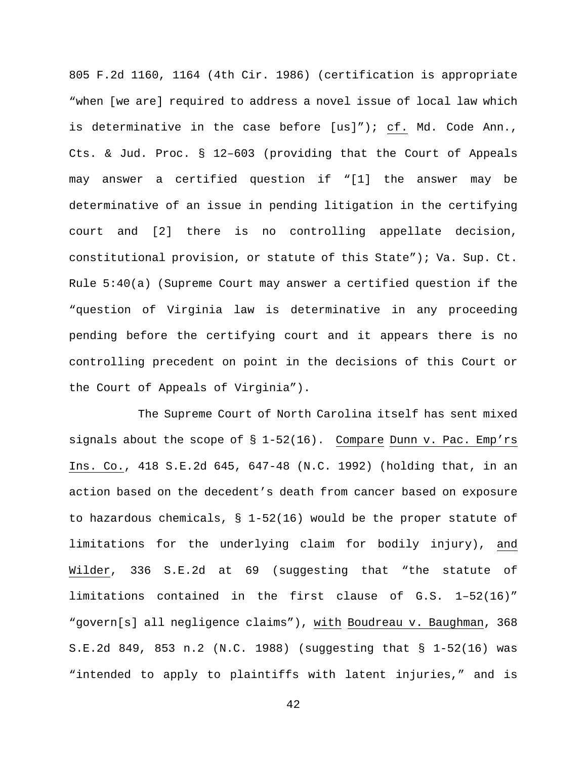805 F.2d 1160, 1164 (4th Cir. 1986) (certification is appropriate "when [we are] required to address a novel issue of local law which is determinative in the case before [us]"); cf. Md. Code Ann., Cts. & Jud. Proc. § 12–603 (providing that the Court of Appeals may answer a certified question if "[1] the answer may be determinative of an issue in pending litigation in the certifying court and [2] there is no controlling appellate decision, constitutional provision, or statute of this State"); Va. Sup. Ct. Rule 5:40(a) (Supreme Court may answer a certified question if the "question of Virginia law is determinative in any proceeding pending before the certifying court and it appears there is no controlling precedent on point in the decisions of this Court or the Court of Appeals of Virginia").

The Supreme Court of North Carolina itself has sent mixed signals about the scope of § 1-52(16). Compare Dunn v. Pac. Emp'rs Ins. Co., 418 S.E.2d 645, 647-48 (N.C. 1992) (holding that, in an action based on the decedent's death from cancer based on exposure to hazardous chemicals,  $\S$  1-52(16) would be the proper statute of limitations for the underlying claim for bodily injury), and Wilder, 336 S.E.2d at 69 (suggesting that "the statute of limitations contained in the first clause of G.S. 1–52(16)" "govern[s] all negligence claims"), with Boudreau v. Baughman, 368 S.E.2d 849, 853 n.2 (N.C. 1988) (suggesting that § 1-52(16) was "intended to apply to plaintiffs with latent injuries," and is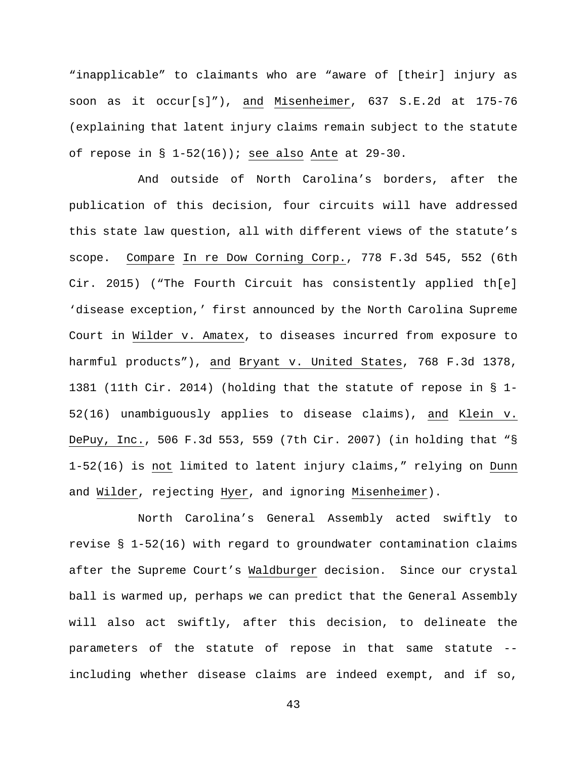"inapplicable" to claimants who are "aware of [their] injury as soon as it occur[s]"), and Misenheimer, 637 S.E.2d at 175-76 (explaining that latent injury claims remain subject to the statute of repose in  $\S$  1-52(16)); see also Ante at 29-30.

And outside of North Carolina's borders, after the publication of this decision, four circuits will have addressed this state law question, all with different views of the statute's scope. Compare In re Dow Corning Corp., 778 F.3d 545, 552 (6th Cir. 2015) ("The Fourth Circuit has consistently applied th[e] 'disease exception,' first announced by the North Carolina Supreme Court in Wilder v. Amatex, to diseases incurred from exposure to harmful products"), and Bryant v. United States, 768 F.3d 1378, 1381 (11th Cir. 2014) (holding that the statute of repose in § 1- 52(16) unambiguously applies to disease claims), and Klein v. DePuy, Inc., 506 F.3d 553, 559 (7th Cir. 2007) (in holding that "§ 1-52(16) is not limited to latent injury claims," relying on Dunn and Wilder, rejecting Hyer, and ignoring Misenheimer).

North Carolina's General Assembly acted swiftly to revise § 1-52(16) with regard to groundwater contamination claims after the Supreme Court's Waldburger decision. Since our crystal ball is warmed up, perhaps we can predict that the General Assembly will also act swiftly, after this decision, to delineate the parameters of the statute of repose in that same statute - including whether disease claims are indeed exempt, and if so,